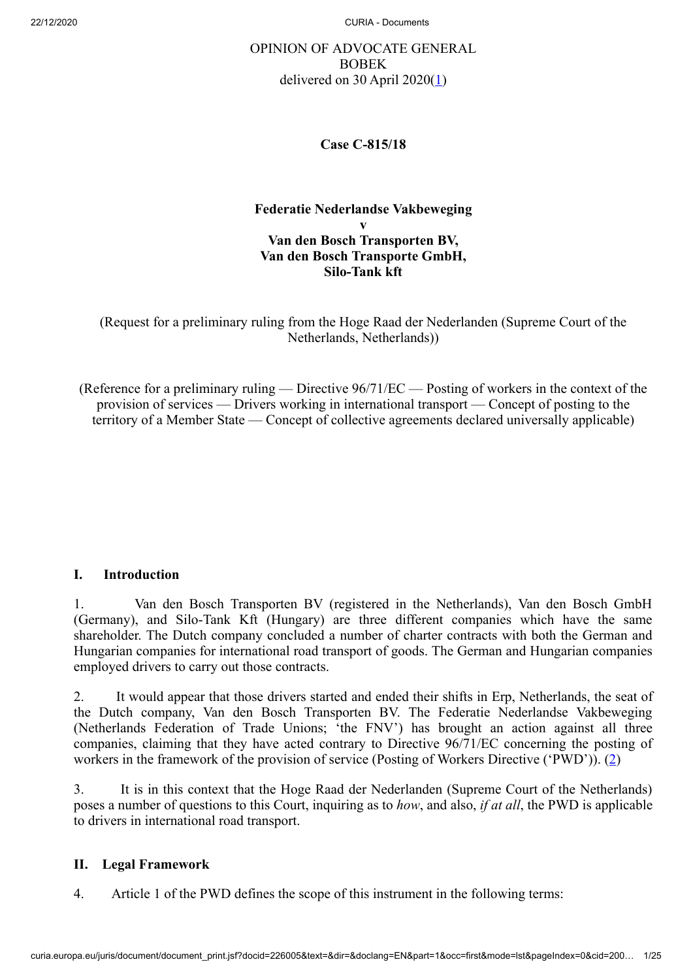# OPINION OF ADVOCATE GENERAL BOBEK delivered on 30 April 2020 $(1)$  $(1)$

### <span id="page-0-0"></span>**Case C‑815/18**

#### **Federatie Nederlandse Vakbeweging v Van den Bosch Transporten BV, Van den Bosch Transporte GmbH, Silo-Tank kft**

(Request for a preliminary ruling from the Hoge Raad der Nederlanden (Supreme Court of the Netherlands, Netherlands))

(Reference for a preliminary ruling — Directive 96/71/EC — Posting of workers in the context of the provision of services — Drivers working in international transport — Concept of posting to the territory of a Member State — Concept of collective agreements declared universally applicable)

# **I. Introduction**

1. Van den Bosch Transporten BV (registered in the Netherlands), Van den Bosch GmbH (Germany), and Silo-Tank Kft (Hungary) are three different companies which have the same shareholder. The Dutch company concluded a number of charter contracts with both the German and Hungarian companies for international road transport of goods. The German and Hungarian companies employed drivers to carry out those contracts.

2. It would appear that those drivers started and ended their shifts in Erp, Netherlands, the seat of the Dutch company, Van den Bosch Transporten BV. The Federatie Nederlandse Vakbeweging (Netherlands Federation of Trade Unions; 'the FNV') has brought an action against all three companies, claiming that they have acted contrary to Directive 96/71/EC concerning the posting of workers in the framework of the provision of service (Posting of Workers Directive ('PWD')). [\(2](#page-19-1))

<span id="page-0-1"></span>3. It is in this context that the Hoge Raad der Nederlanden (Supreme Court of the Netherlands) poses a number of questions to this Court, inquiring as to *how*, and also, *if at all*, the PWD is applicable to drivers in international road transport.

### **II. Legal Framework**

4. Article 1 of the PWD defines the scope of this instrument in the following terms: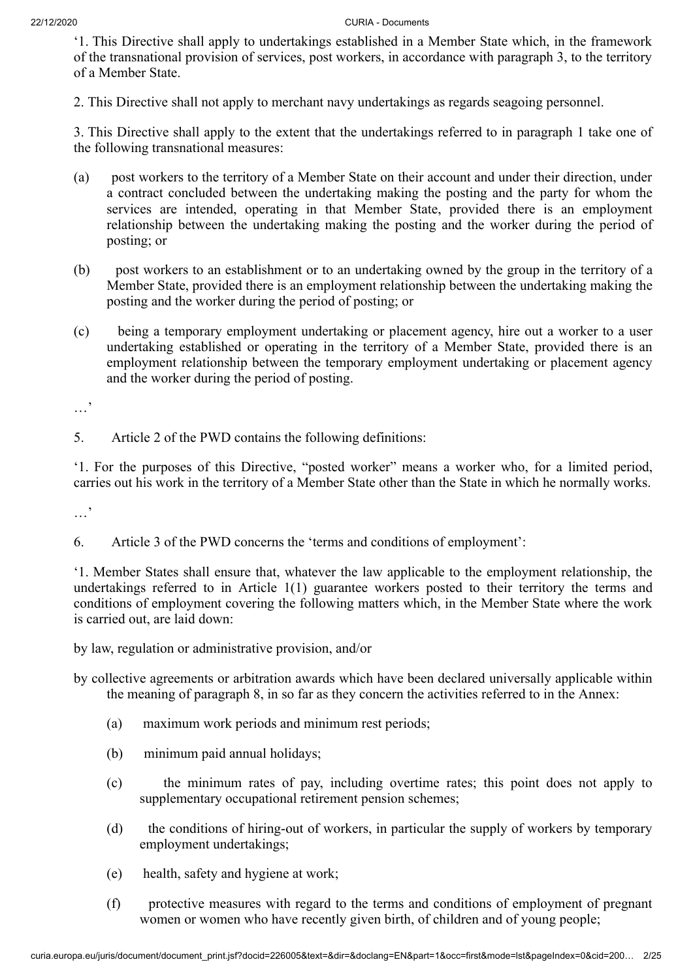'1. This Directive shall apply to undertakings established in a Member State which, in the framework of the transnational provision of services, post workers, in accordance with paragraph 3, to the territory of a Member State.

2. This Directive shall not apply to merchant navy undertakings as regards seagoing personnel.

3. This Directive shall apply to the extent that the undertakings referred to in paragraph 1 take one of the following transnational measures:

- (a) post workers to the territory of a Member State on their account and under their direction, under a contract concluded between the undertaking making the posting and the party for whom the services are intended, operating in that Member State, provided there is an employment relationship between the undertaking making the posting and the worker during the period of posting; or
- (b) post workers to an establishment or to an undertaking owned by the group in the territory of a Member State, provided there is an employment relationship between the undertaking making the posting and the worker during the period of posting; or
- (c) being a temporary employment undertaking or placement agency, hire out a worker to a user undertaking established or operating in the territory of a Member State, provided there is an employment relationship between the temporary employment undertaking or placement agency and the worker during the period of posting.

…'

5. Article 2 of the PWD contains the following definitions:

'1. For the purposes of this Directive, "posted worker" means a worker who, for a limited period, carries out his work in the territory of a Member State other than the State in which he normally works.

…'

6. Article 3 of the PWD concerns the 'terms and conditions of employment':

'1. Member States shall ensure that, whatever the law applicable to the employment relationship, the undertakings referred to in Article 1(1) guarantee workers posted to their territory the terms and conditions of employment covering the following matters which, in the Member State where the work is carried out, are laid down:

by law, regulation or administrative provision, and/or

by collective agreements or arbitration awards which have been declared universally applicable within the meaning of paragraph 8, in so far as they concern the activities referred to in the Annex:

- (a) maximum work periods and minimum rest periods;
- (b) minimum paid annual holidays;
- (c) the minimum rates of pay, including overtime rates; this point does not apply to supplementary occupational retirement pension schemes;
- (d) the conditions of hiring-out of workers, in particular the supply of workers by temporary employment undertakings;
- (e) health, safety and hygiene at work;
- (f) protective measures with regard to the terms and conditions of employment of pregnant women or women who have recently given birth, of children and of young people;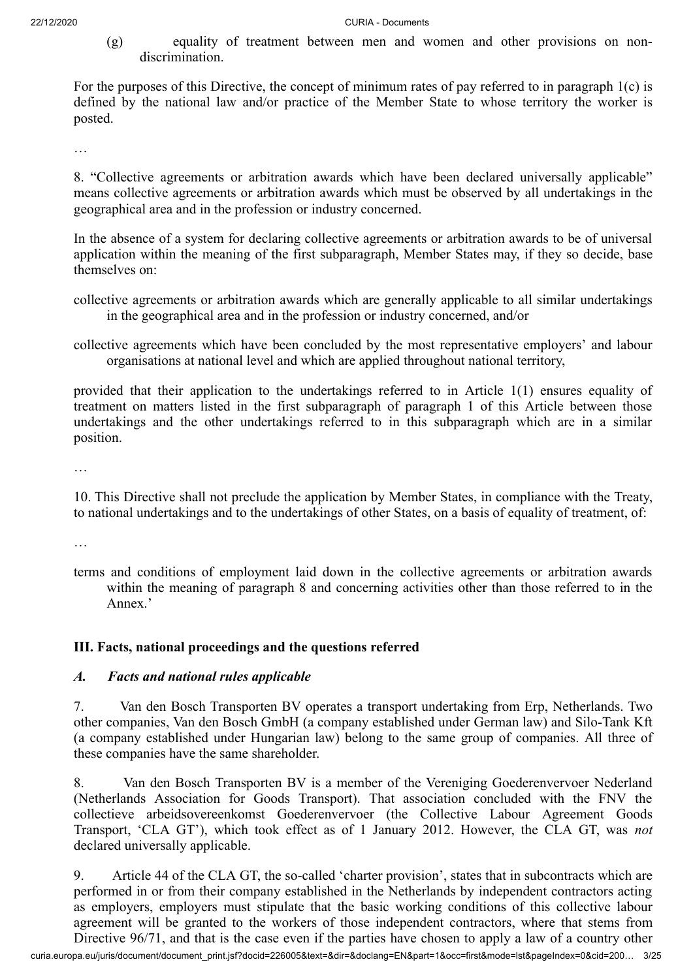(g) equality of treatment between men and women and other provisions on nondiscrimination.

For the purposes of this Directive, the concept of minimum rates of pay referred to in paragraph 1(c) is defined by the national law and/or practice of the Member State to whose territory the worker is posted.

…

8. "Collective agreements or arbitration awards which have been declared universally applicable" means collective agreements or arbitration awards which must be observed by all undertakings in the geographical area and in the profession or industry concerned.

In the absence of a system for declaring collective agreements or arbitration awards to be of universal application within the meaning of the first subparagraph, Member States may, if they so decide, base themselves on:

- collective agreements or arbitration awards which are generally applicable to all similar undertakings in the geographical area and in the profession or industry concerned, and/or
- collective agreements which have been concluded by the most representative employers' and labour organisations at national level and which are applied throughout national territory,

provided that their application to the undertakings referred to in Article 1(1) ensures equality of treatment on matters listed in the first subparagraph of paragraph 1 of this Article between those undertakings and the other undertakings referred to in this subparagraph which are in a similar position.

…

10. This Directive shall not preclude the application by Member States, in compliance with the Treaty, to national undertakings and to the undertakings of other States, on a basis of equality of treatment, of:

…

terms and conditions of employment laid down in the collective agreements or arbitration awards within the meaning of paragraph 8 and concerning activities other than those referred to in the Annex.'

# **III. Facts, national proceedings and the questions referred**

### *A. Facts and national rules applicable*

7. Van den Bosch Transporten BV operates a transport undertaking from Erp, Netherlands. Two other companies, Van den Bosch GmbH (a company established under German law) and Silo-Tank Kft (a company established under Hungarian law) belong to the same group of companies. All three of these companies have the same shareholder.

8. Van den Bosch Transporten BV is a member of the Vereniging Goederenvervoer Nederland (Netherlands Association for Goods Transport). That association concluded with the FNV the collectieve arbeidsovereenkomst Goederenvervoer (the Collective Labour Agreement Goods Transport, 'CLA GT'), which took effect as of 1 January 2012. However, the CLA GT, was *not* declared universally applicable.

9. Article 44 of the CLA GT, the so-called 'charter provision', states that in subcontracts which are performed in or from their company established in the Netherlands by independent contractors acting as employers, employers must stipulate that the basic working conditions of this collective labour agreement will be granted to the workers of those independent contractors, where that stems from Directive 96/71, and that is the case even if the parties have chosen to apply a law of a country other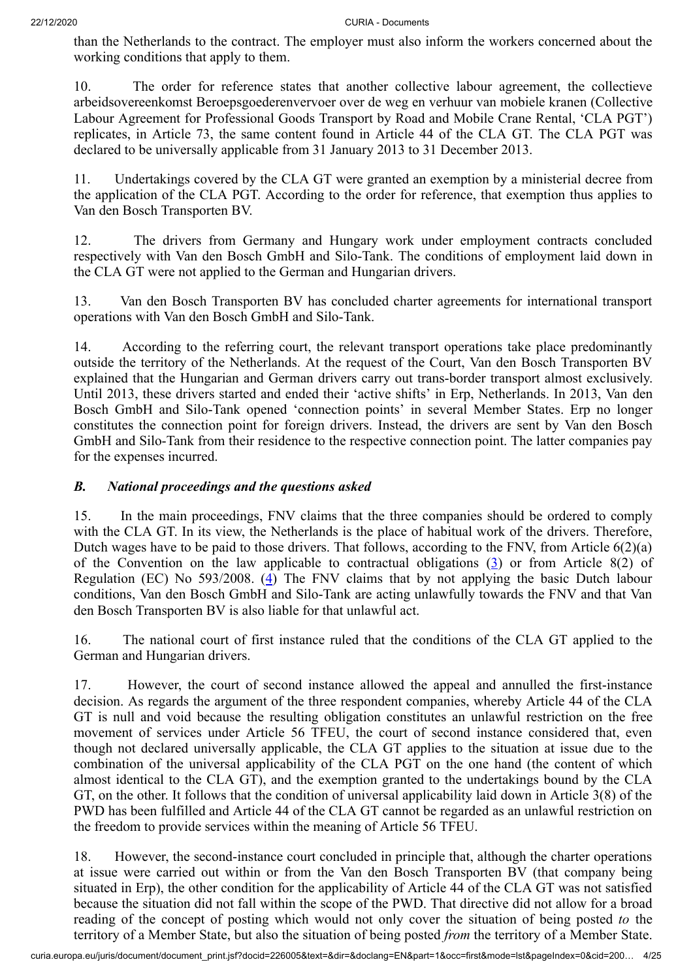than the Netherlands to the contract. The employer must also inform the workers concerned about the working conditions that apply to them.

10. The order for reference states that another collective labour agreement, the collectieve arbeidsovereenkomst Beroepsgoederenvervoer over de weg en verhuur van mobiele kranen (Collective Labour Agreement for Professional Goods Transport by Road and Mobile Crane Rental, 'CLA PGT') replicates, in Article 73, the same content found in Article 44 of the CLA GT. The CLA PGT was declared to be universally applicable from 31 January 2013 to 31 December 2013.

11. Undertakings covered by the CLA GT were granted an exemption by a ministerial decree from the application of the CLA PGT. According to the order for reference, that exemption thus applies to Van den Bosch Transporten BV.

12. The drivers from Germany and Hungary work under employment contracts concluded respectively with Van den Bosch GmbH and Silo-Tank. The conditions of employment laid down in the CLA GT were not applied to the German and Hungarian drivers.

13. Van den Bosch Transporten BV has concluded charter agreements for international transport operations with Van den Bosch GmbH and Silo-Tank.

14. According to the referring court, the relevant transport operations take place predominantly outside the territory of the Netherlands. At the request of the Court, Van den Bosch Transporten BV explained that the Hungarian and German drivers carry out trans-border transport almost exclusively. Until 2013, these drivers started and ended their 'active shifts' in Erp, Netherlands. In 2013, Van den Bosch GmbH and Silo-Tank opened 'connection points' in several Member States. Erp no longer constitutes the connection point for foreign drivers. Instead, the drivers are sent by Van den Bosch GmbH and Silo-Tank from their residence to the respective connection point. The latter companies pay for the expenses incurred.

### *B. National proceedings and the questions asked*

<span id="page-3-0"></span>15. In the main proceedings, FNV claims that the three companies should be ordered to comply with the CLA GT. In its view, the Netherlands is the place of habitual work of the drivers. Therefore, Dutch wages have to be paid to those drivers. That follows, according to the FNV, from Article 6(2)(a) of the Convention on the law applicable to contractual obligations  $(3)$  $(3)$  or from Article 8(2) of Regulation (EC) No 593/2008. [\(4](#page-19-3)) The FNV claims that by not applying the basic Dutch labour conditions, Van den Bosch GmbH and Silo-Tank are acting unlawfully towards the FNV and that Van den Bosch Transporten BV is also liable for that unlawful act.

<span id="page-3-1"></span>16. The national court of first instance ruled that the conditions of the CLA GT applied to the German and Hungarian drivers.

17. However, the court of second instance allowed the appeal and annulled the first-instance decision. As regards the argument of the three respondent companies, whereby Article 44 of the CLA GT is null and void because the resulting obligation constitutes an unlawful restriction on the free movement of services under Article 56 TFEU, the court of second instance considered that, even though not declared universally applicable, the CLA GT applies to the situation at issue due to the combination of the universal applicability of the CLA PGT on the one hand (the content of which almost identical to the CLA GT), and the exemption granted to the undertakings bound by the CLA GT, on the other. It follows that the condition of universal applicability laid down in Article 3(8) of the PWD has been fulfilled and Article 44 of the CLA GT cannot be regarded as an unlawful restriction on the freedom to provide services within the meaning of Article 56 TFEU.

18. However, the second-instance court concluded in principle that, although the charter operations at issue were carried out within or from the Van den Bosch Transporten BV (that company being situated in Erp), the other condition for the applicability of Article 44 of the CLA GT was not satisfied because the situation did not fall within the scope of the PWD. That directive did not allow for a broad reading of the concept of posting which would not only cover the situation of being posted *to* the territory of a Member State, but also the situation of being posted *from* the territory of a Member State.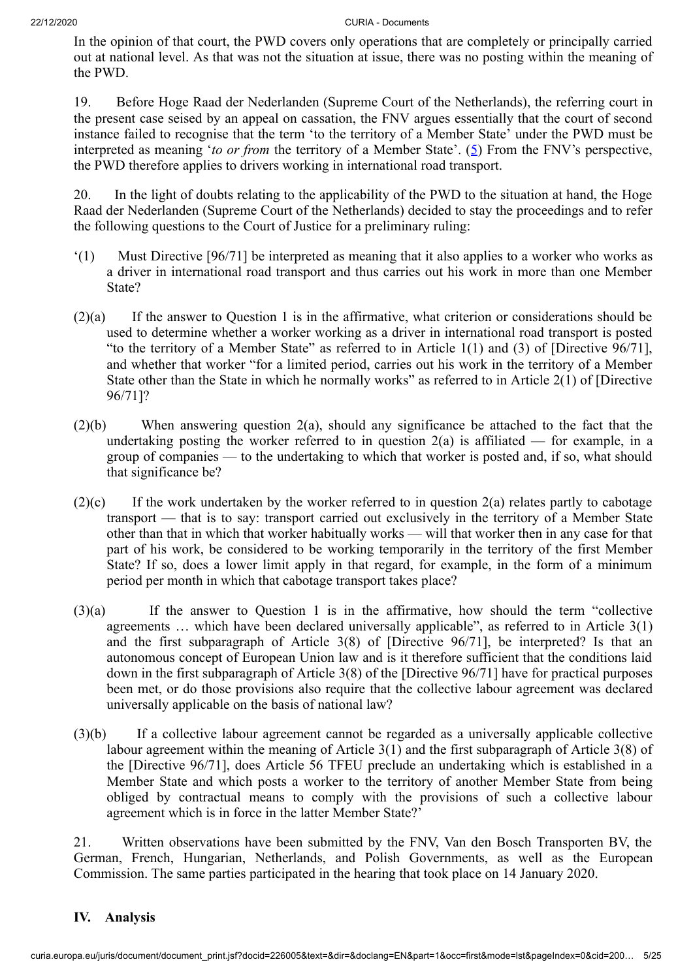In the opinion of that court, the PWD covers only operations that are completely or principally carried out at national level. As that was not the situation at issue, there was no posting within the meaning of the PWD.

<span id="page-4-0"></span>19. Before Hoge Raad der Nederlanden (Supreme Court of the Netherlands), the referring court in the present case seised by an appeal on cassation, the FNV argues essentially that the court of second instance failed to recognise that the term 'to the territory of a Member State' under the PWD must be interpreted as meaning '*to or from* the territory of a Member State'. [\(5](#page-19-4)) From the FNV's perspective, the PWD therefore applies to drivers working in international road transport.

20. In the light of doubts relating to the applicability of the PWD to the situation at hand, the Hoge Raad der Nederlanden (Supreme Court of the Netherlands) decided to stay the proceedings and to refer the following questions to the Court of Justice for a preliminary ruling:

- '(1) Must Directive [96/71] be interpreted as meaning that it also applies to a worker who works as a driver in international road transport and thus carries out his work in more than one Member State?
- (2)(a) If the answer to Question 1 is in the affirmative, what criterion or considerations should be used to determine whether a worker working as a driver in international road transport is posted "to the territory of a Member State" as referred to in Article 1(1) and (3) of [Directive 96/71], and whether that worker "for a limited period, carries out his work in the territory of a Member State other than the State in which he normally works" as referred to in Article 2(1) of [Directive 96/71]?
- (2)(b) When answering question 2(a), should any significance be attached to the fact that the undertaking posting the worker referred to in question  $2(a)$  is affiliated — for example, in a group of companies — to the undertaking to which that worker is posted and, if so, what should that significance be?
- $(2)(c)$  If the work undertaken by the worker referred to in question  $2(a)$  relates partly to cabotage transport — that is to say: transport carried out exclusively in the territory of a Member State other than that in which that worker habitually works — will that worker then in any case for that part of his work, be considered to be working temporarily in the territory of the first Member State? If so, does a lower limit apply in that regard, for example, in the form of a minimum period per month in which that cabotage transport takes place?
- (3)(a) If the answer to Question 1 is in the affirmative, how should the term "collective agreements … which have been declared universally applicable", as referred to in Article 3(1) and the first subparagraph of Article 3(8) of [Directive 96/71], be interpreted? Is that an autonomous concept of European Union law and is it therefore sufficient that the conditions laid down in the first subparagraph of Article 3(8) of the [Directive 96/71] have for practical purposes been met, or do those provisions also require that the collective labour agreement was declared universally applicable on the basis of national law?
- (3)(b) If a collective labour agreement cannot be regarded as a universally applicable collective labour agreement within the meaning of Article 3(1) and the first subparagraph of Article 3(8) of the [Directive 96/71], does Article 56 TFEU preclude an undertaking which is established in a Member State and which posts a worker to the territory of another Member State from being obliged by contractual means to comply with the provisions of such a collective labour agreement which is in force in the latter Member State?'

21. Written observations have been submitted by the FNV, Van den Bosch Transporten BV, the German, French, Hungarian, Netherlands, and Polish Governments, as well as the European Commission. The same parties participated in the hearing that took place on 14 January 2020.

# **IV. Analysis**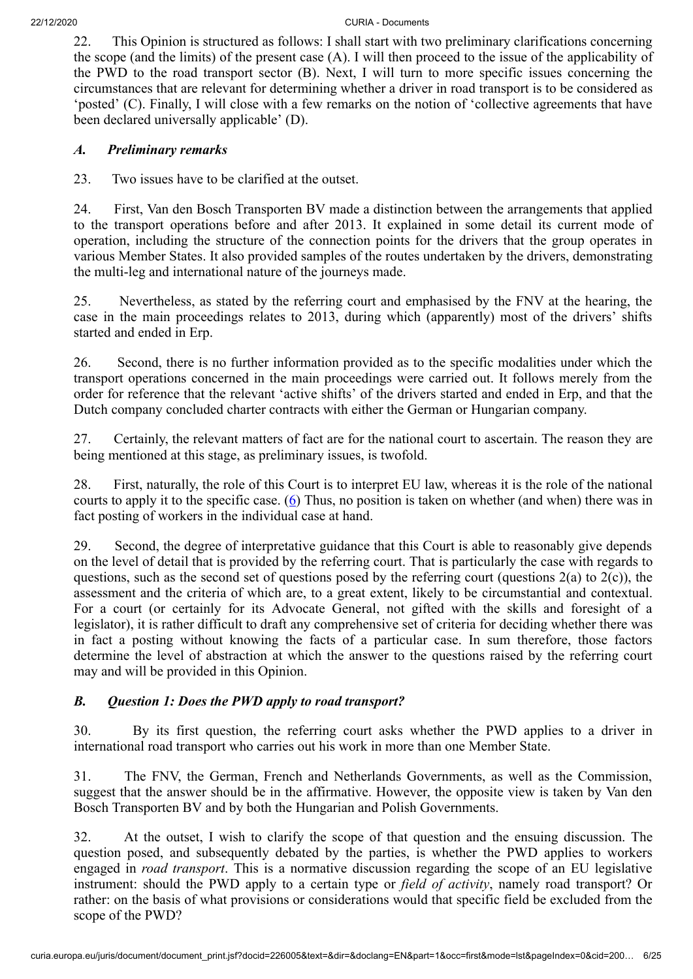22. This Opinion is structured as follows: I shall start with two preliminary clarifications concerning the scope (and the limits) of the present case (A). I will then proceed to the issue of the applicability of the PWD to the road transport sector (B). Next, I will turn to more specific issues concerning the circumstances that are relevant for determining whether a driver in road transport is to be considered as 'posted' (C). Finally, I will close with a few remarks on the notion of 'collective agreements that have been declared universally applicable' (D).

#### *A. Preliminary remarks*

23. Two issues have to be clarified at the outset.

24. First, Van den Bosch Transporten BV made a distinction between the arrangements that applied to the transport operations before and after 2013. It explained in some detail its current mode of operation, including the structure of the connection points for the drivers that the group operates in various Member States. It also provided samples of the routes undertaken by the drivers, demonstrating the multi-leg and international nature of the journeys made.

25. Nevertheless, as stated by the referring court and emphasised by the FNV at the hearing, the case in the main proceedings relates to 2013, during which (apparently) most of the drivers' shifts started and ended in Erp.

26. Second, there is no further information provided as to the specific modalities under which the transport operations concerned in the main proceedings were carried out. It follows merely from the order for reference that the relevant 'active shifts' of the drivers started and ended in Erp, and that the Dutch company concluded charter contracts with either the German or Hungarian company.

27. Certainly, the relevant matters of fact are for the national court to ascertain. The reason they are being mentioned at this stage, as preliminary issues, is twofold.

<span id="page-5-0"></span>28. First, naturally, the role of this Court is to interpret EU law, whereas it is the role of the national courts to apply it to the specific case.  $(6)$  $(6)$  Thus, no position is taken on whether (and when) there was in fact posting of workers in the individual case at hand.

29. Second, the degree of interpretative guidance that this Court is able to reasonably give depends on the level of detail that is provided by the referring court. That is particularly the case with regards to questions, such as the second set of questions posed by the referring court (questions  $2(a)$  to  $2(c)$ ), the assessment and the criteria of which are, to a great extent, likely to be circumstantial and contextual. For a court (or certainly for its Advocate General, not gifted with the skills and foresight of a legislator), it is rather difficult to draft any comprehensive set of criteria for deciding whether there was in fact a posting without knowing the facts of a particular case. In sum therefore, those factors determine the level of abstraction at which the answer to the questions raised by the referring court may and will be provided in this Opinion.

### *B. Question 1: Does the PWD apply to road transport?*

30. By its first question, the referring court asks whether the PWD applies to a driver in international road transport who carries out his work in more than one Member State.

31. The FNV, the German, French and Netherlands Governments, as well as the Commission, suggest that the answer should be in the affirmative. However, the opposite view is taken by Van den Bosch Transporten BV and by both the Hungarian and Polish Governments.

32. At the outset, I wish to clarify the scope of that question and the ensuing discussion. The question posed, and subsequently debated by the parties, is whether the PWD applies to workers engaged in *road transport*. This is a normative discussion regarding the scope of an EU legislative instrument: should the PWD apply to a certain type or *field of activity*, namely road transport? Or rather: on the basis of what provisions or considerations would that specific field be excluded from the scope of the PWD?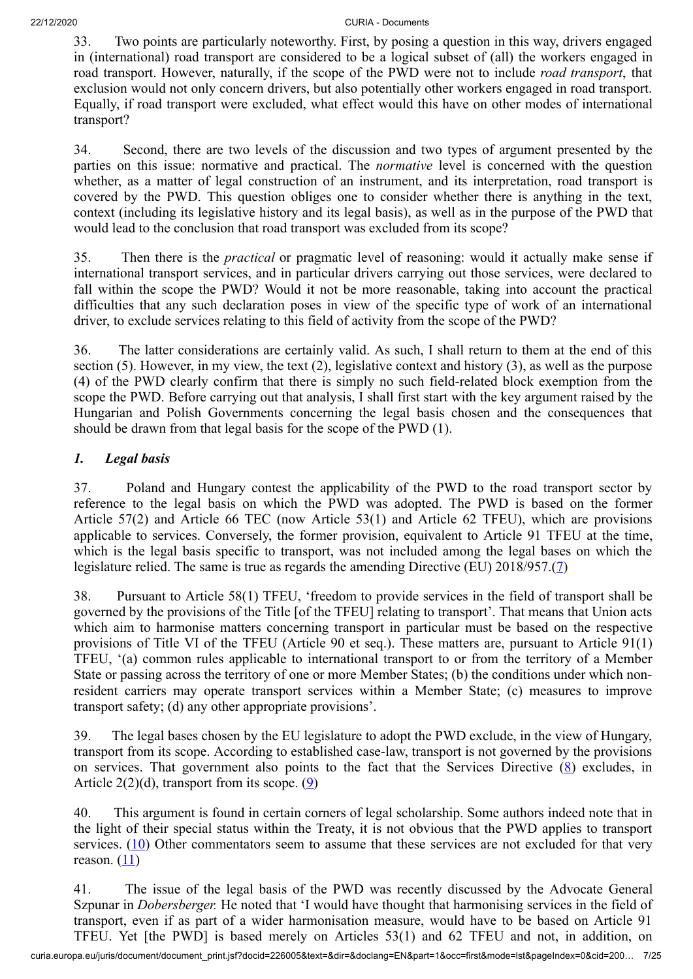33. Two points are particularly noteworthy. First, by posing a question in this way, drivers engaged in (international) road transport are considered to be a logical subset of (all) the workers engaged in road transport. However, naturally, if the scope of the PWD were not to include *road transport*, that exclusion would not only concern drivers, but also potentially other workers engaged in road transport. Equally, if road transport were excluded, what effect would this have on other modes of international transport?

34. Second, there are two levels of the discussion and two types of argument presented by the parties on this issue: normative and practical. The *normative* level is concerned with the question whether, as a matter of legal construction of an instrument, and its interpretation, road transport is covered by the PWD. This question obliges one to consider whether there is anything in the text, context (including its legislative history and its legal basis), as well as in the purpose of the PWD that would lead to the conclusion that road transport was excluded from its scope?

35. Then there is the *practical* or pragmatic level of reasoning: would it actually make sense if international transport services, and in particular drivers carrying out those services, were declared to fall within the scope the PWD? Would it not be more reasonable, taking into account the practical difficulties that any such declaration poses in view of the specific type of work of an international driver, to exclude services relating to this field of activity from the scope of the PWD?

36. The latter considerations are certainly valid. As such, I shall return to them at the end of this section (5). However, in my view, the text (2), legislative context and history (3), as well as the purpose (4) of the PWD clearly confirm that there is simply no such field-related block exemption from the scope the PWD. Before carrying out that analysis, I shall first start with the key argument raised by the Hungarian and Polish Governments concerning the legal basis chosen and the consequences that should be drawn from that legal basis for the scope of the PWD (1).

# *1. Legal basis*

37. Poland and Hungary contest the applicability of the PWD to the road transport sector by reference to the legal basis on which the PWD was adopted. The PWD is based on the former Article 57(2) and Article 66 TEC (now Article 53(1) and Article 62 TFEU), which are provisions applicable to services. Conversely, the former provision, equivalent to Article 91 TFEU at the time, which is the legal basis specific to transport, was not included among the legal bases on which the legislature relied. The same is true as regards the amending Directive (EU) 2018/957.([7](#page-19-6))

<span id="page-6-0"></span>38. Pursuant to Article 58(1) TFEU, 'freedom to provide services in the field of transport shall be governed by the provisions of the Title [of the TFEU] relating to transport'. That means that Union acts which aim to harmonise matters concerning transport in particular must be based on the respective provisions of Title VI of the TFEU (Article 90 et seq.). These matters are, pursuant to Article 91(1) TFEU, '(a) common rules applicable to international transport to or from the territory of a Member State or passing across the territory of one or more Member States; (b) the conditions under which nonresident carriers may operate transport services within a Member State; (c) measures to improve transport safety; (d) any other appropriate provisions'.

<span id="page-6-1"></span>39. The legal bases chosen by the EU legislature to adopt the PWD exclude, in the view of Hungary, transport from its scope. According to established case-law, transport is not governed by the provisions on services. That government also points to the fact that the Services Directive  $(8)$  $(8)$  excludes, in Article 2(2)(d), transport from its scope. [\(9](#page-19-8))

<span id="page-6-3"></span><span id="page-6-2"></span>40. This argument is found in certain corners of legal scholarship. Some authors indeed note that in the light of their special status within the Treaty, it is not obvious that the PWD applies to transport services.  $(10)$  $(10)$  Other commentators seem to assume that these services are not excluded for that very reason.  $(11)$  $(11)$  $(11)$ 

<span id="page-6-4"></span>41. The issue of the legal basis of the PWD was recently discussed by the Advocate General Szpunar in *Dobersberger.* He noted that 'I would have thought that harmonising services in the field of transport, even if as part of a wider harmonisation measure, would have to be based on Article 91 TFEU. Yet [the PWD] is based merely on Articles 53(1) and 62 TFEU and not, in addition, on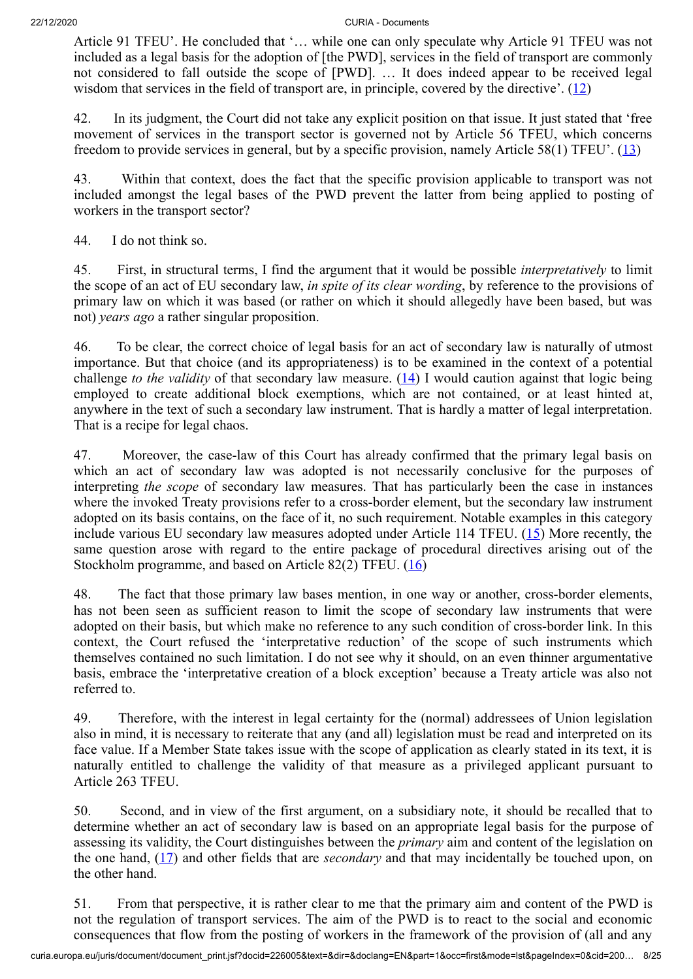Article 91 TFEU'. He concluded that '… while one can only speculate why Article 91 TFEU was not included as a legal basis for the adoption of [the PWD], services in the field of transport are commonly not considered to fall outside the scope of [PWD]. … It does indeed appear to be received legal wisdom that services in the field of transport are, in principle, covered by the directive'.  $(12)$  $(12)$  $(12)$ 

<span id="page-7-0"></span>42. In its judgment, the Court did not take any explicit position on that issue. It just stated that 'free movement of services in the transport sector is governed not by Article 56 TFEU, which concerns freedom to provide services in general, but by a specific provision, namely Article 58(1) TFEU'. ([13\)](#page-19-12)

<span id="page-7-1"></span>43. Within that context, does the fact that the specific provision applicable to transport was not included amongst the legal bases of the PWD prevent the latter from being applied to posting of workers in the transport sector?

44. I do not think so.

45. First, in structural terms, I find the argument that it would be possible *interpretatively* to limit the scope of an act of EU secondary law, *in spite of its clear wording*, by reference to the provisions of primary law on which it was based (or rather on which it should allegedly have been based, but was not) *years ago* a rather singular proposition.

<span id="page-7-2"></span>46. To be clear, the correct choice of legal basis for an act of secondary law is naturally of utmost importance. But that choice (and its appropriateness) is to be examined in the context of a potential challenge *to the validity* of that secondary law measure. ([14\)](#page-19-13) I would caution against that logic being employed to create additional block exemptions, which are not contained, or at least hinted at, anywhere in the text of such a secondary law instrument. That is hardly a matter of legal interpretation. That is a recipe for legal chaos.

47. Moreover, the case-law of this Court has already confirmed that the primary legal basis on which an act of secondary law was adopted is not necessarily conclusive for the purposes of interpreting *the scope* of secondary law measures. That has particularly been the case in instances where the invoked Treaty provisions refer to a cross-border element, but the secondary law instrument adopted on its basis contains, on the face of it, no such requirement. Notable examples in this category include various EU secondary law measures adopted under Article 114 TFEU. [\(15](#page-20-0)) More recently, the same question arose with regard to the entire package of procedural directives arising out of the Stockholm programme, and based on Article 82(2) TFEU. ([16\)](#page-20-1)

<span id="page-7-4"></span><span id="page-7-3"></span>48. The fact that those primary law bases mention, in one way or another, cross-border elements, has not been seen as sufficient reason to limit the scope of secondary law instruments that were adopted on their basis, but which make no reference to any such condition of cross-border link. In this context, the Court refused the 'interpretative reduction' of the scope of such instruments which themselves contained no such limitation. I do not see why it should, on an even thinner argumentative basis, embrace the 'interpretative creation of a block exception' because a Treaty article was also not referred to.

49. Therefore, with the interest in legal certainty for the (normal) addressees of Union legislation also in mind, it is necessary to reiterate that any (and all) legislation must be read and interpreted on its face value. If a Member State takes issue with the scope of application as clearly stated in its text, it is naturally entitled to challenge the validity of that measure as a privileged applicant pursuant to Article 263 TFEU.

<span id="page-7-5"></span>50. Second, and in view of the first argument, on a subsidiary note, it should be recalled that to determine whether an act of secondary law is based on an appropriate legal basis for the purpose of assessing its validity, the Court distinguishes between the *primary* aim and content of the legislation on the one hand, ([17\)](#page-20-2) and other fields that are *secondary* and that may incidentally be touched upon, on the other hand.

51. From that perspective, it is rather clear to me that the primary aim and content of the PWD is not the regulation of transport services. The aim of the PWD is to react to the social and economic consequences that flow from the posting of workers in the framework of the provision of (all and any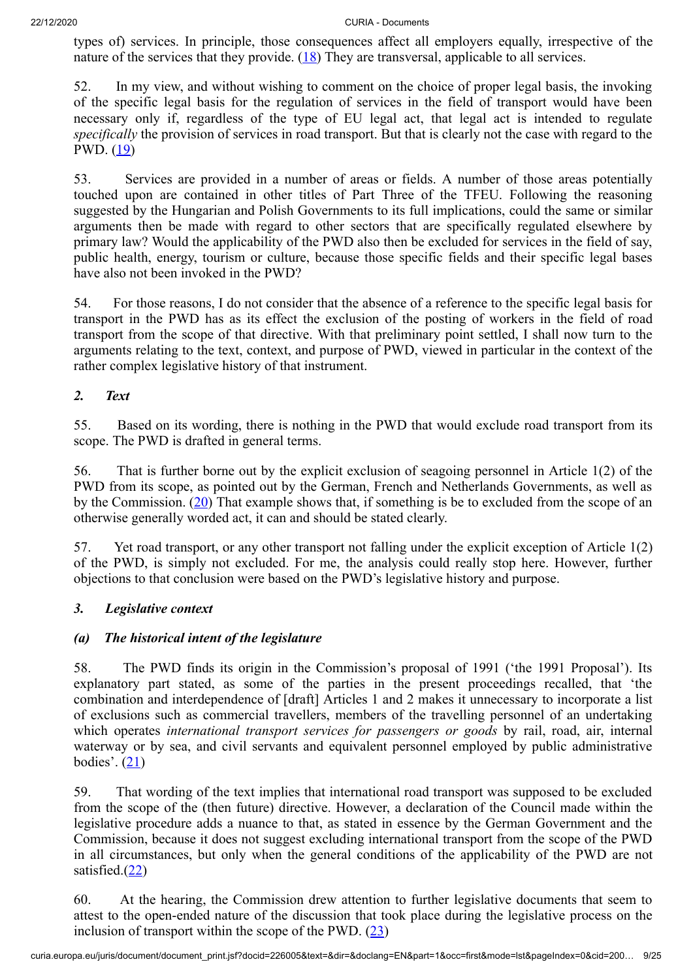<span id="page-8-0"></span>types of) services. In principle, those consequences affect all employers equally, irrespective of the nature of the services that they provide.  $(18)$  $(18)$  $(18)$  They are transversal, applicable to all services.

52. In my view, and without wishing to comment on the choice of proper legal basis, the invoking of the specific legal basis for the regulation of services in the field of transport would have been necessary only if, regardless of the type of EU legal act, that legal act is intended to regulate *specifically* the provision of services in road transport. But that is clearly not the case with regard to the PWD. [\(19](#page-20-4))

<span id="page-8-1"></span>53. Services are provided in a number of areas or fields. A number of those areas potentially touched upon are contained in other titles of Part Three of the TFEU. Following the reasoning suggested by the Hungarian and Polish Governments to its full implications, could the same or similar arguments then be made with regard to other sectors that are specifically regulated elsewhere by primary law? Would the applicability of the PWD also then be excluded for services in the field of say, public health, energy, tourism or culture, because those specific fields and their specific legal bases have also not been invoked in the PWD?

54. For those reasons, I do not consider that the absence of a reference to the specific legal basis for transport in the PWD has as its effect the exclusion of the posting of workers in the field of road transport from the scope of that directive. With that preliminary point settled, I shall now turn to the arguments relating to the text, context, and purpose of PWD, viewed in particular in the context of the rather complex legislative history of that instrument.

# *2. Text*

55. Based on its wording, there is nothing in the PWD that would exclude road transport from its scope. The PWD is drafted in general terms.

<span id="page-8-2"></span>56. That is further borne out by the explicit exclusion of seagoing personnel in Article 1(2) of the PWD from its scope, as pointed out by the German, French and Netherlands Governments, as well as by the Commission. ([20\)](#page-20-5) That example shows that, if something is be to excluded from the scope of an otherwise generally worded act, it can and should be stated clearly.

57. Yet road transport, or any other transport not falling under the explicit exception of Article 1(2) of the PWD, is simply not excluded. For me, the analysis could really stop here. However, further objections to that conclusion were based on the PWD's legislative history and purpose.

# *3. Legislative context*

# *(a) The historical intent of the legislature*

58. The PWD finds its origin in the Commission's proposal of 1991 ('the 1991 Proposal'). Its explanatory part stated, as some of the parties in the present proceedings recalled, that 'the combination and interdependence of [draft] Articles 1 and 2 makes it unnecessary to incorporate a list of exclusions such as commercial travellers, members of the travelling personnel of an undertaking which operates *international transport services for passengers or goods* by rail, road, air, internal waterway or by sea, and civil servants and equivalent personnel employed by public administrative bodies'.  $(21)$  $(21)$ 

<span id="page-8-3"></span>59. That wording of the text implies that international road transport was supposed to be excluded from the scope of the (then future) directive. However, a declaration of the Council made within the legislative procedure adds a nuance to that, as stated in essence by the German Government and the Commission, because it does not suggest excluding international transport from the scope of the PWD in all circumstances, but only when the general conditions of the applicability of the PWD are not satisfied.[\(22](#page-20-7))

<span id="page-8-5"></span><span id="page-8-4"></span>60. At the hearing, the Commission drew attention to further legislative documents that seem to attest to the open-ended nature of the discussion that took place during the legislative process on the inclusion of transport within the scope of the PWD.  $(23)$  $(23)$  $(23)$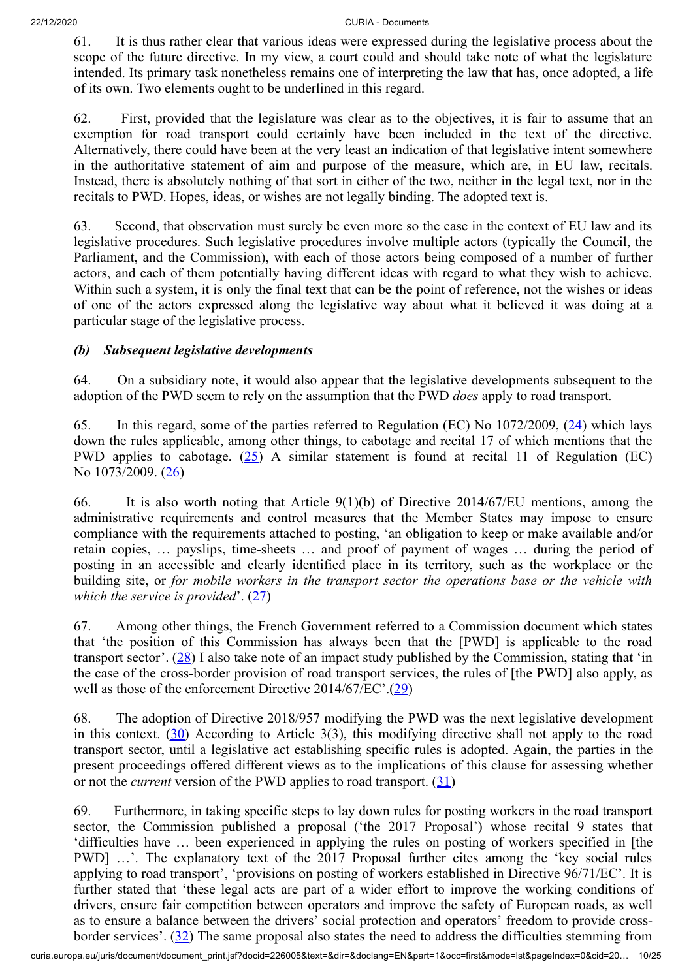61. It is thus rather clear that various ideas were expressed during the legislative process about the scope of the future directive. In my view, a court could and should take note of what the legislature intended. Its primary task nonetheless remains one of interpreting the law that has, once adopted, a life of its own. Two elements ought to be underlined in this regard.

62. First, provided that the legislature was clear as to the objectives, it is fair to assume that an exemption for road transport could certainly have been included in the text of the directive. Alternatively, there could have been at the very least an indication of that legislative intent somewhere in the authoritative statement of aim and purpose of the measure, which are, in EU law, recitals. Instead, there is absolutely nothing of that sort in either of the two, neither in the legal text, nor in the recitals to PWD. Hopes, ideas, or wishes are not legally binding. The adopted text is.

63. Second, that observation must surely be even more so the case in the context of EU law and its legislative procedures. Such legislative procedures involve multiple actors (typically the Council, the Parliament, and the Commission), with each of those actors being composed of a number of further actors, and each of them potentially having different ideas with regard to what they wish to achieve. Within such a system, it is only the final text that can be the point of reference, not the wishes or ideas of one of the actors expressed along the legislative way about what it believed it was doing at a particular stage of the legislative process.

### *(b) Subsequent legislative developments*

64. On a subsidiary note, it would also appear that the legislative developments subsequent to the adoption of the PWD seem to rely on the assumption that the PWD *does* apply to road transport*.*

<span id="page-9-1"></span><span id="page-9-0"></span>65. In this regard, some of the parties referred to Regulation (EC) No 1072/2009, [\(24](#page-21-0)) which lays down the rules applicable, among other things, to cabotage and recital 17 of which mentions that the PWD applies to cabotage.  $(25)$  $(25)$  A similar statement is found at recital 11 of Regulation (EC) No 1073/2009. [\(26](#page-21-2))

<span id="page-9-2"></span>66. It is also worth noting that Article 9(1)(b) of Directive 2014/67/EU mentions, among the administrative requirements and control measures that the Member States may impose to ensure compliance with the requirements attached to posting, 'an obligation to keep or make available and/or retain copies, … payslips, time-sheets … and proof of payment of wages … during the period of posting in an accessible and clearly identified place in its territory, such as the workplace or the building site, or *for mobile workers in the transport sector the operations base or the vehicle with which the service is provided'.* ([27\)](#page-21-3)

<span id="page-9-4"></span><span id="page-9-3"></span>67. Among other things, the French Government referred to a Commission document which states that 'the position of this Commission has always been that the [PWD] is applicable to the road transport sector'. [\(28](#page-21-4)) I also take note of an impact study published by the Commission, stating that 'in the case of the cross-border provision of road transport services, the rules of [the PWD] also apply, as well as those of the enforcement Directive 2014/67/EC'.([29\)](#page-21-5)

<span id="page-9-6"></span><span id="page-9-5"></span>68. The adoption of Directive 2018/957 modifying the PWD was the next legislative development in this context. ([30\)](#page-21-6) According to Article 3(3), this modifying directive shall not apply to the road transport sector, until a legislative act establishing specific rules is adopted. Again, the parties in the present proceedings offered different views as to the implications of this clause for assessing whether or not the *current* version of the PWD applies to road transport. ([31\)](#page-21-7)

<span id="page-9-8"></span><span id="page-9-7"></span>69. Furthermore, in taking specific steps to lay down rules for posting workers in the road transport sector, the Commission published a proposal ('the 2017 Proposal') whose recital 9 states that 'difficulties have … been experienced in applying the rules on posting of workers specified in [the PWD] …'. The explanatory text of the 2017 Proposal further cites among the 'key social rules applying to road transport', 'provisions on posting of workers established in Directive 96/71/EC'. It is further stated that 'these legal acts are part of a wider effort to improve the working conditions of drivers, ensure fair competition between operators and improve the safety of European roads, as well as to ensure a balance between the drivers' social protection and operators' freedom to provide crossborder services'.  $(32)$  $(32)$  The same proposal also states the need to address the difficulties stemming from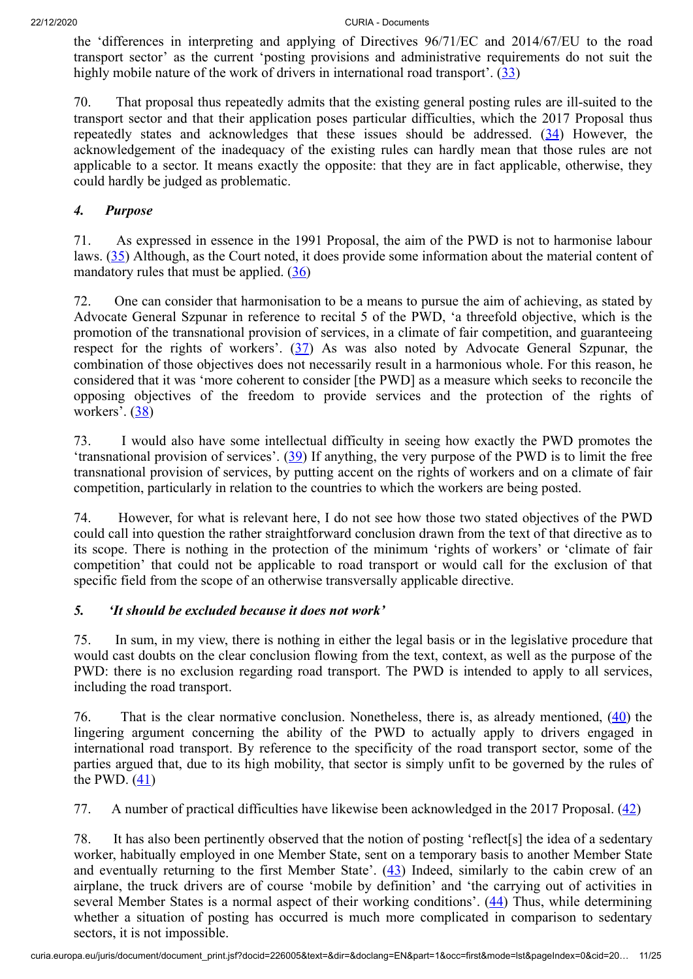<span id="page-10-0"></span>the 'differences in interpreting and applying of Directives 96/71/EC and 2014/67/EU to the road transport sector' as the current 'posting provisions and administrative requirements do not suit the highly mobile nature of the work of drivers in international road transport'. ([33](#page-21-9))

<span id="page-10-1"></span>70. That proposal thus repeatedly admits that the existing general posting rules are ill-suited to the transport sector and that their application poses particular difficulties, which the 2017 Proposal thus repeatedly states and acknowledges that these issues should be addressed. ([34\)](#page-21-10) However, the acknowledgement of the inadequacy of the existing rules can hardly mean that those rules are not applicable to a sector. It means exactly the opposite: that they are in fact applicable, otherwise, they could hardly be judged as problematic.

# *4. Purpose*

<span id="page-10-2"></span>71. As expressed in essence in the 1991 Proposal, the aim of the PWD is not to harmonise labour laws. [\(35](#page-21-11)) Although, as the Court noted, it does provide some information about the material content of mandatory rules that must be applied.  $(36)$  $(36)$  $(36)$ 

<span id="page-10-4"></span><span id="page-10-3"></span>72. One can consider that harmonisation to be a means to pursue the aim of achieving, as stated by Advocate General Szpunar in reference to recital 5 of the PWD, 'a threefold objective, which is the promotion of the transnational provision of services, in a climate of fair competition, and guaranteeing respect for the rights of workers'.  $(37)$  $(37)$  As was also noted by Advocate General Szpunar, the combination of those objectives does not necessarily result in a harmonious whole. For this reason, he considered that it was 'more coherent to consider [the PWD] as a measure which seeks to reconcile the opposing objectives of the freedom to provide services and the protection of the rights of workers'.  $(38)$  $(38)$ 

<span id="page-10-6"></span><span id="page-10-5"></span>73. I would also have some intellectual difficulty in seeing how exactly the PWD promotes the 'transnational provision of services'.  $(39)$  $(39)$  If anything, the very purpose of the PWD is to limit the free transnational provision of services, by putting accent on the rights of workers and on a climate of fair competition, particularly in relation to the countries to which the workers are being posted.

74. However, for what is relevant here, I do not see how those two stated objectives of the PWD could call into question the rather straightforward conclusion drawn from the text of that directive as to its scope. There is nothing in the protection of the minimum 'rights of workers' or 'climate of fair competition' that could not be applicable to road transport or would call for the exclusion of that specific field from the scope of an otherwise transversally applicable directive.

# *5. 'It should be excluded because it does not work'*

75. In sum, in my view, there is nothing in either the legal basis or in the legislative procedure that would cast doubts on the clear conclusion flowing from the text, context, as well as the purpose of the PWD: there is no exclusion regarding road transport. The PWD is intended to apply to all services, including the road transport.

<span id="page-10-7"></span>76. That is the clear normative conclusion. Nonetheless, there is, as already mentioned,  $(40)$  $(40)$  the lingering argument concerning the ability of the PWD to actually apply to drivers engaged in international road transport. By reference to the specificity of the road transport sector, some of the parties argued that, due to its high mobility, that sector is simply unfit to be governed by the rules of the PWD.  $(41)$  $(41)$ 

<span id="page-10-9"></span><span id="page-10-8"></span>77. A number of practical difficulties have likewise been acknowledged in the 2017 Proposal. ([42\)](#page-22-5)

<span id="page-10-11"></span><span id="page-10-10"></span>78. It has also been pertinently observed that the notion of posting 'reflect[s] the idea of a sedentary worker, habitually employed in one Member State, sent on a temporary basis to another Member State and eventually returning to the first Member State'.  $(43)$  $(43)$  Indeed, similarly to the cabin crew of an airplane, the truck drivers are of course 'mobile by definition' and 'the carrying out of activities in several Member States is a normal aspect of their working conditions'.  $(44)$  $(44)$  Thus, while determining whether a situation of posting has occurred is much more complicated in comparison to sedentary sectors, it is not impossible.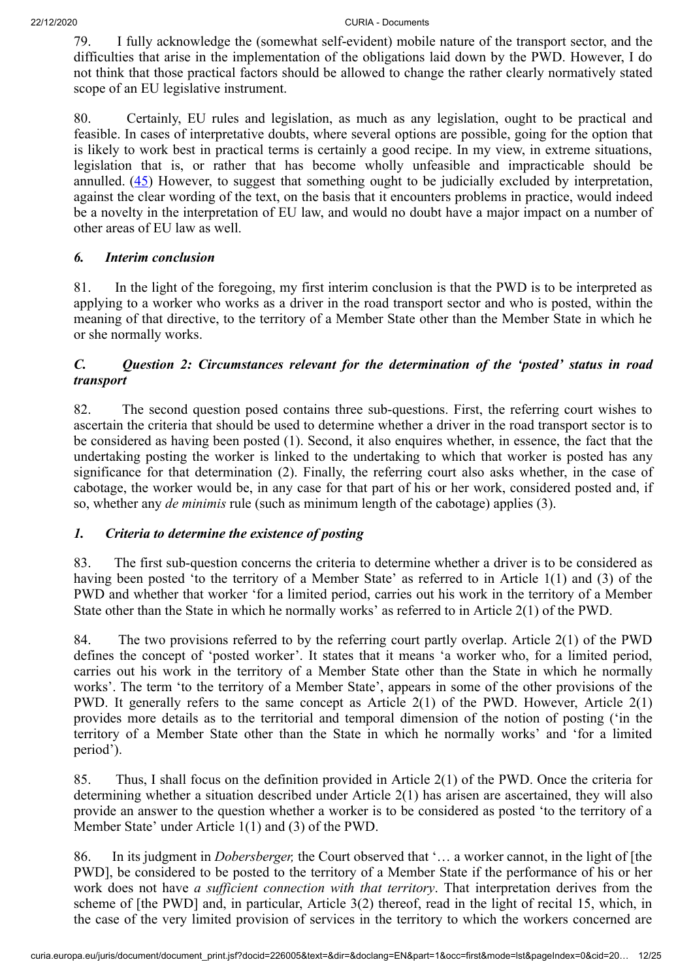79. I fully acknowledge the (somewhat self-evident) mobile nature of the transport sector, and the difficulties that arise in the implementation of the obligations laid down by the PWD. However, I do not think that those practical factors should be allowed to change the rather clearly normatively stated scope of an EU legislative instrument.

<span id="page-11-0"></span>80. Certainly, EU rules and legislation, as much as any legislation, ought to be practical and feasible. In cases of interpretative doubts, where several options are possible, going for the option that is likely to work best in practical terms is certainly a good recipe. In my view, in extreme situations, legislation that is, or rather that has become wholly unfeasible and impracticable should be annulled. [\(45](#page-22-8)) However, to suggest that something ought to be judicially excluded by interpretation, against the clear wording of the text, on the basis that it encounters problems in practice, would indeed be a novelty in the interpretation of EU law, and would no doubt have a major impact on a number of other areas of EU law as well.

# *6. Interim conclusion*

81. In the light of the foregoing, my first interim conclusion is that the PWD is to be interpreted as applying to a worker who works as a driver in the road transport sector and who is posted, within the meaning of that directive, to the territory of a Member State other than the Member State in which he or she normally works.

# *C. Question 2: Circumstances relevant for the determination of the 'posted' status in road transport*

82. The second question posed contains three sub-questions. First, the referring court wishes to ascertain the criteria that should be used to determine whether a driver in the road transport sector is to be considered as having been posted (1). Second, it also enquires whether, in essence, the fact that the undertaking posting the worker is linked to the undertaking to which that worker is posted has any significance for that determination (2). Finally, the referring court also asks whether, in the case of cabotage, the worker would be, in any case for that part of his or her work, considered posted and, if so, whether any *de minimis* rule (such as minimum length of the cabotage) applies (3).

# *1. Criteria to determine the existence of posting*

83. The first sub-question concerns the criteria to determine whether a driver is to be considered as having been posted 'to the territory of a Member State' as referred to in Article 1(1) and (3) of the PWD and whether that worker 'for a limited period, carries out his work in the territory of a Member State other than the State in which he normally works' as referred to in Article 2(1) of the PWD.

84. The two provisions referred to by the referring court partly overlap. Article 2(1) of the PWD defines the concept of 'posted worker'. It states that it means 'a worker who, for a limited period, carries out his work in the territory of a Member State other than the State in which he normally works'. The term 'to the territory of a Member State', appears in some of the other provisions of the PWD. It generally refers to the same concept as Article 2(1) of the PWD. However, Article 2(1) provides more details as to the territorial and temporal dimension of the notion of posting ('in the territory of a Member State other than the State in which he normally works' and 'for a limited period').

85. Thus, I shall focus on the definition provided in Article 2(1) of the PWD. Once the criteria for determining whether a situation described under Article 2(1) has arisen are ascertained, they will also provide an answer to the question whether a worker is to be considered as posted 'to the territory of a Member State' under Article 1(1) and (3) of the PWD.

86. In its judgment in *Dobersberger,* the Court observed that '… a worker cannot, in the light of [the PWD], be considered to be posted to the territory of a Member State if the performance of his or her work does not have *a sufficient connection with that territory*. That interpretation derives from the scheme of [the PWD] and, in particular, Article 3(2) thereof, read in the light of recital 15, which, in the case of the very limited provision of services in the territory to which the workers concerned are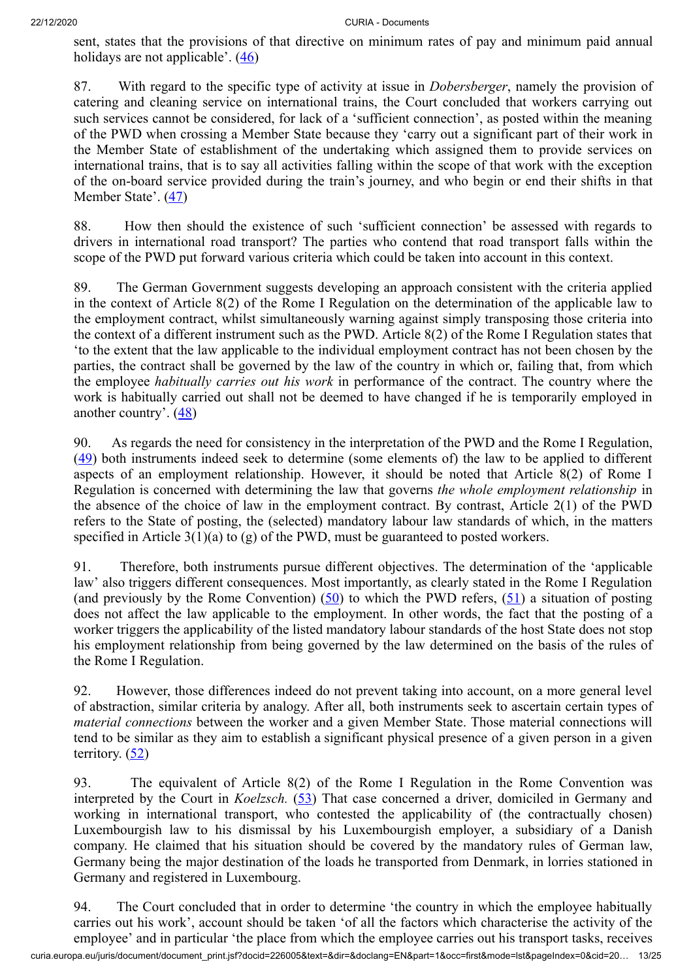<span id="page-12-0"></span>sent, states that the provisions of that directive on minimum rates of pay and minimum paid annual holidays are not applicable'.  $(46)$  $(46)$ 

87. With regard to the specific type of activity at issue in *Dobersberger*, namely the provision of catering and cleaning service on international trains, the Court concluded that workers carrying out such services cannot be considered, for lack of a 'sufficient connection', as posted within the meaning of the PWD when crossing a Member State because they 'carry out a significant part of their work in the Member State of establishment of the undertaking which assigned them to provide services on international trains, that is to say all activities falling within the scope of that work with the exception of the on-board service provided during the train's journey, and who begin or end their shifts in that Member State'. ([47](#page-22-10))

<span id="page-12-1"></span>88. How then should the existence of such 'sufficient connection' be assessed with regards to drivers in international road transport? The parties who contend that road transport falls within the scope of the PWD put forward various criteria which could be taken into account in this context.

89. The German Government suggests developing an approach consistent with the criteria applied in the context of Article 8(2) of the Rome I Regulation on the determination of the applicable law to the employment contract, whilst simultaneously warning against simply transposing those criteria into the context of a different instrument such as the PWD. Article 8(2) of the Rome I Regulation states that 'to the extent that the law applicable to the individual employment contract has not been chosen by the parties, the contract shall be governed by the law of the country in which or, failing that, from which the employee *habitually carries out his work* in performance of the contract. The country where the work is habitually carried out shall not be deemed to have changed if he is temporarily employed in another country'. ([48](#page-22-11))

<span id="page-12-3"></span><span id="page-12-2"></span>90. As regards the need for consistency in the interpretation of the PWD and the Rome I Regulation,  $(49)$  $(49)$  both instruments indeed seek to determine (some elements of) the law to be applied to different aspects of an employment relationship. However, it should be noted that Article 8(2) of Rome I Regulation is concerned with determining the law that governs *the whole employment relationship* in the absence of the choice of law in the employment contract. By contrast, Article 2(1) of the PWD refers to the State of posting, the (selected) mandatory labour law standards of which, in the matters specified in Article  $3(1)(a)$  to  $(g)$  of the PWD, must be guaranteed to posted workers.

<span id="page-12-5"></span><span id="page-12-4"></span>91. Therefore, both instruments pursue different objectives. The determination of the 'applicable law' also triggers different consequences. Most importantly, as clearly stated in the Rome I Regulation (and previously by the Rome Convention)  $(50)$  $(50)$  to which the PWD refers,  $(51)$  $(51)$  a situation of posting does not affect the law applicable to the employment. In other words, the fact that the posting of a worker triggers the applicability of the listed mandatory labour standards of the host State does not stop his employment relationship from being governed by the law determined on the basis of the rules of the Rome I Regulation.

92. However, those differences indeed do not prevent taking into account, on a more general level of abstraction, similar criteria by analogy. After all, both instruments seek to ascertain certain types of *material connections* between the worker and a given Member State. Those material connections will tend to be similar as they aim to establish a significant physical presence of a given person in a given territory.  $(52)$  $(52)$ 

<span id="page-12-7"></span><span id="page-12-6"></span>93. The equivalent of Article 8(2) of the Rome I Regulation in the Rome Convention was interpreted by the Court in *Koelzsch.* [\(53](#page-23-4)) That case concerned a driver, domiciled in Germany and working in international transport, who contested the applicability of (the contractually chosen) Luxembourgish law to his dismissal by his Luxembourgish employer, a subsidiary of a Danish company. He claimed that his situation should be covered by the mandatory rules of German law, Germany being the major destination of the loads he transported from Denmark, in lorries stationed in Germany and registered in Luxembourg.

curia.europa.eu/juris/document/document\_print.jsf?docid=226005&text=&dir=&doclang=EN&part=1&occ=first&mode=lst&pageIndex=0&cid=20… 13/25 94. The Court concluded that in order to determine 'the country in which the employee habitually carries out his work', account should be taken 'of all the factors which characterise the activity of the employee' and in particular 'the place from which the employee carries out his transport tasks, receives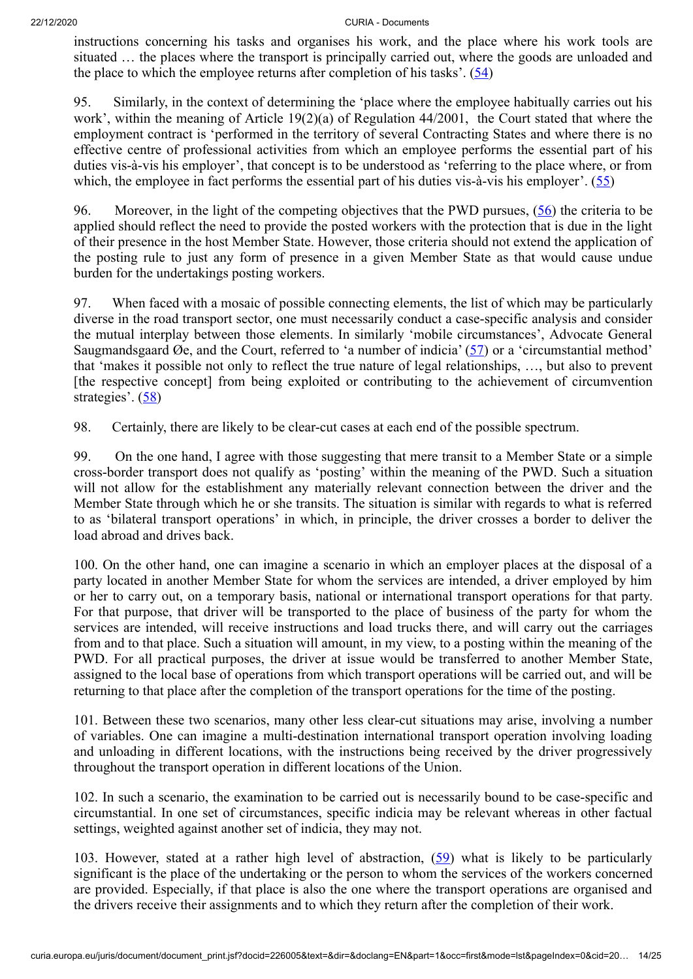<span id="page-13-0"></span>instructions concerning his tasks and organises his work, and the place where his work tools are situated … the places where the transport is principally carried out, where the goods are unloaded and the place to which the employee returns after completion of his tasks'.  $(54)$  $(54)$ 

95. Similarly, in the context of determining the 'place where the employee habitually carries out his work', within the meaning of Article 19(2)(a) of Regulation 44/2001, the Court stated that where the employment contract is 'performed in the territory of several Contracting States and where there is no effective centre of professional activities from which an employee performs the essential part of his duties vis-à-vis his employer', that concept is to be understood as 'referring to the place where, or from which, the employee in fact performs the essential part of his duties vis-à-vis his employer'.  $(55)$  $(55)$ 

<span id="page-13-2"></span><span id="page-13-1"></span>96. Moreover, in the light of the competing objectives that the PWD pursues, [\(56](#page-23-7)) the criteria to be applied should reflect the need to provide the posted workers with the protection that is due in the light of their presence in the host Member State. However, those criteria should not extend the application of the posting rule to just any form of presence in a given Member State as that would cause undue burden for the undertakings posting workers.

<span id="page-13-3"></span>97. When faced with a mosaic of possible connecting elements, the list of which may be particularly diverse in the road transport sector, one must necessarily conduct a case-specific analysis and consider the mutual interplay between those elements. In similarly 'mobile circumstances', Advocate General Saugmandsgaard Øe, and the Court, referred to 'a number of indicia' ([57\)](#page-23-8) or a 'circumstantial method' that 'makes it possible not only to reflect the true nature of legal relationships, …, but also to prevent [the respective concept] from being exploited or contributing to the achievement of circumvention strategies'. ([58\)](#page-23-9)

<span id="page-13-4"></span>98. Certainly, there are likely to be clear-cut cases at each end of the possible spectrum.

99. On the one hand, I agree with those suggesting that mere transit to a Member State or a simple cross-border transport does not qualify as 'posting' within the meaning of the PWD. Such a situation will not allow for the establishment any materially relevant connection between the driver and the Member State through which he or she transits. The situation is similar with regards to what is referred to as 'bilateral transport operations' in which, in principle, the driver crosses a border to deliver the load abroad and drives back.

100. On the other hand, one can imagine a scenario in which an employer places at the disposal of a party located in another Member State for whom the services are intended, a driver employed by him or her to carry out, on a temporary basis, national or international transport operations for that party. For that purpose, that driver will be transported to the place of business of the party for whom the services are intended, will receive instructions and load trucks there, and will carry out the carriages from and to that place. Such a situation will amount, in my view, to a posting within the meaning of the PWD. For all practical purposes, the driver at issue would be transferred to another Member State, assigned to the local base of operations from which transport operations will be carried out, and will be returning to that place after the completion of the transport operations for the time of the posting.

101. Between these two scenarios, many other less clear-cut situations may arise, involving a number of variables. One can imagine a multi-destination international transport operation involving loading and unloading in different locations, with the instructions being received by the driver progressively throughout the transport operation in different locations of the Union.

102. In such a scenario, the examination to be carried out is necessarily bound to be case-specific and circumstantial. In one set of circumstances, specific indicia may be relevant whereas in other factual settings, weighted against another set of indicia, they may not.

<span id="page-13-5"></span>103. However, stated at a rather high level of abstraction, [\(59](#page-23-10)) what is likely to be particularly significant is the place of the undertaking or the person to whom the services of the workers concerned are provided. Especially, if that place is also the one where the transport operations are organised and the drivers receive their assignments and to which they return after the completion of their work.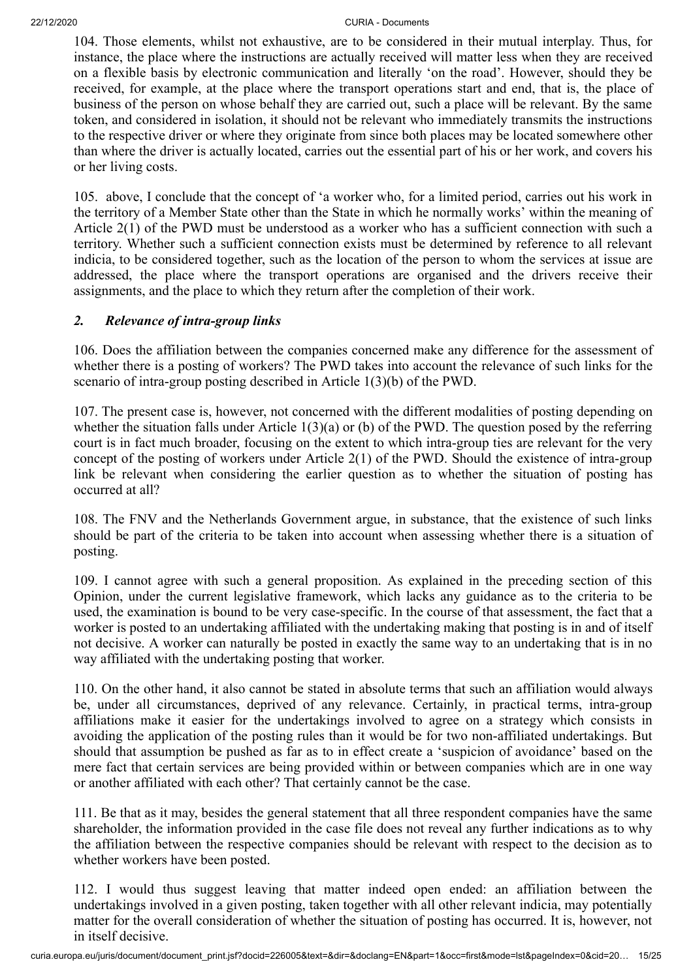104. Those elements, whilst not exhaustive, are to be considered in their mutual interplay. Thus, for instance, the place where the instructions are actually received will matter less when they are received on a flexible basis by electronic communication and literally 'on the road'. However, should they be received, for example, at the place where the transport operations start and end, that is, the place of business of the person on whose behalf they are carried out, such a place will be relevant. By the same token, and considered in isolation, it should not be relevant who immediately transmits the instructions to the respective driver or where they originate from since both places may be located somewhere other than where the driver is actually located, carries out the essential part of his or her work, and covers his or her living costs.

105. above, I conclude that the concept of 'a worker who, for a limited period, carries out his work in the territory of a Member State other than the State in which he normally works' within the meaning of Article 2(1) of the PWD must be understood as a worker who has a sufficient connection with such a territory. Whether such a sufficient connection exists must be determined by reference to all relevant indicia, to be considered together, such as the location of the person to whom the services at issue are addressed, the place where the transport operations are organised and the drivers receive their assignments, and the place to which they return after the completion of their work.

### *2. Relevance of intra-group links*

106. Does the affiliation between the companies concerned make any difference for the assessment of whether there is a posting of workers? The PWD takes into account the relevance of such links for the scenario of intra-group posting described in Article 1(3)(b) of the PWD.

107. The present case is, however, not concerned with the different modalities of posting depending on whether the situation falls under Article  $1(3)(a)$  or (b) of the PWD. The question posed by the referring court is in fact much broader, focusing on the extent to which intra-group ties are relevant for the very concept of the posting of workers under Article 2(1) of the PWD. Should the existence of intra-group link be relevant when considering the earlier question as to whether the situation of posting has occurred at all?

108. The FNV and the Netherlands Government argue, in substance, that the existence of such links should be part of the criteria to be taken into account when assessing whether there is a situation of posting.

109. I cannot agree with such a general proposition. As explained in the preceding section of this Opinion, under the current legislative framework, which lacks any guidance as to the criteria to be used, the examination is bound to be very case-specific. In the course of that assessment, the fact that a worker is posted to an undertaking affiliated with the undertaking making that posting is in and of itself not decisive. A worker can naturally be posted in exactly the same way to an undertaking that is in no way affiliated with the undertaking posting that worker.

110. On the other hand, it also cannot be stated in absolute terms that such an affiliation would always be, under all circumstances, deprived of any relevance. Certainly, in practical terms, intra-group affiliations make it easier for the undertakings involved to agree on a strategy which consists in avoiding the application of the posting rules than it would be for two non-affiliated undertakings. But should that assumption be pushed as far as to in effect create a 'suspicion of avoidance' based on the mere fact that certain services are being provided within or between companies which are in one way or another affiliated with each other? That certainly cannot be the case.

111. Be that as it may, besides the general statement that all three respondent companies have the same shareholder, the information provided in the case file does not reveal any further indications as to why the affiliation between the respective companies should be relevant with respect to the decision as to whether workers have been posted.

112. I would thus suggest leaving that matter indeed open ended: an affiliation between the undertakings involved in a given posting, taken together with all other relevant indicia, may potentially matter for the overall consideration of whether the situation of posting has occurred. It is, however, not in itself decisive.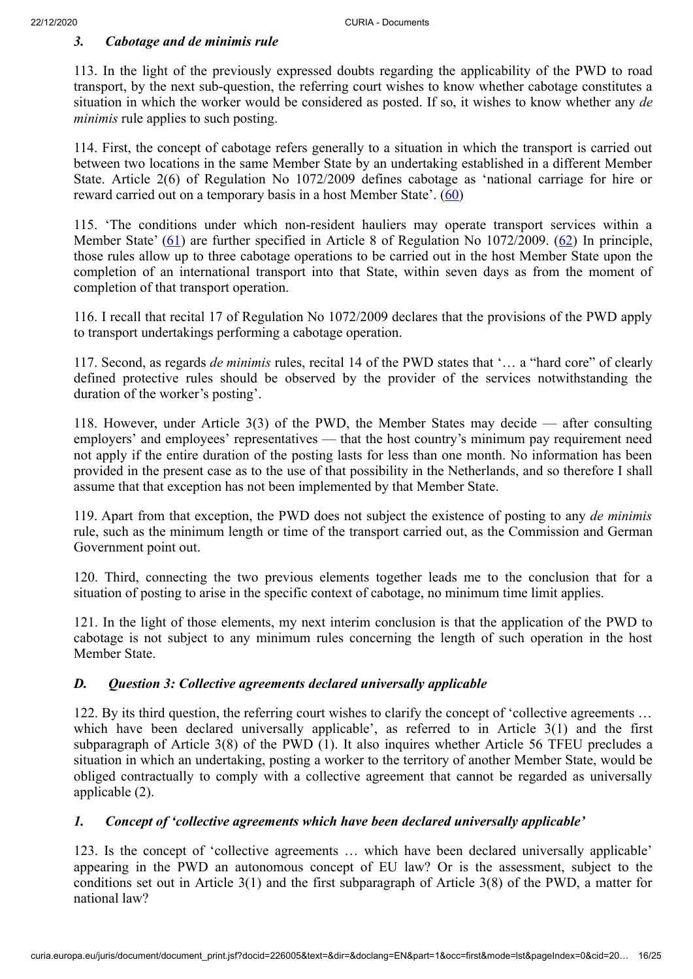### *3. Cabotage and de minimis rule*

113. In the light of the previously expressed doubts regarding the applicability of the PWD to road transport, by the next sub-question, the referring court wishes to know whether cabotage constitutes a situation in which the worker would be considered as posted. If so, it wishes to know whether any *de minimis* rule applies to such posting.

114. First, the concept of cabotage refers generally to a situation in which the transport is carried out between two locations in the same Member State by an undertaking established in a different Member State. Article 2(6) of Regulation No 1072/2009 defines cabotage as 'national carriage for hire or reward carried out on a temporary basis in a host Member State'. [\(60](#page-23-11))

<span id="page-15-2"></span><span id="page-15-1"></span><span id="page-15-0"></span>115. 'The conditions under which non-resident hauliers may operate transport services within a Member State' [\(61](#page-24-0)) are further specified in Article 8 of Regulation No 1072/2009. [\(62](#page-24-1)) In principle, those rules allow up to three cabotage operations to be carried out in the host Member State upon the completion of an international transport into that State, within seven days as from the moment of completion of that transport operation.

116. I recall that recital 17 of Regulation No 1072/2009 declares that the provisions of the PWD apply to transport undertakings performing a cabotage operation.

117. Second, as regards *de minimis* rules, recital 14 of the PWD states that '… a "hard core" of clearly defined protective rules should be observed by the provider of the services notwithstanding the duration of the worker's posting'.

118. However, under Article 3(3) of the PWD, the Member States may decide — after consulting employers' and employees' representatives — that the host country's minimum pay requirement need not apply if the entire duration of the posting lasts for less than one month. No information has been provided in the present case as to the use of that possibility in the Netherlands, and so therefore I shall assume that that exception has not been implemented by that Member State.

119. Apart from that exception, the PWD does not subject the existence of posting to any *de minimis* rule, such as the minimum length or time of the transport carried out, as the Commission and German Government point out.

120. Third, connecting the two previous elements together leads me to the conclusion that for a situation of posting to arise in the specific context of cabotage, no minimum time limit applies.

121. In the light of those elements, my next interim conclusion is that the application of the PWD to cabotage is not subject to any minimum rules concerning the length of such operation in the host Member State.

# *D. Question 3: Collective agreements declared universally applicable*

122. By its third question, the referring court wishes to clarify the concept of 'collective agreements … which have been declared universally applicable', as referred to in Article 3(1) and the first subparagraph of Article 3(8) of the PWD (1). It also inquires whether Article 56 TFEU precludes a situation in which an undertaking, posting a worker to the territory of another Member State, would be obliged contractually to comply with a collective agreement that cannot be regarded as universally applicable (2).

# *1. Concept of 'collective agreements which have been declared universally applicable'*

123. Is the concept of 'collective agreements … which have been declared universally applicable' appearing in the PWD an autonomous concept of EU law? Or is the assessment, subject to the conditions set out in Article 3(1) and the first subparagraph of Article 3(8) of the PWD, a matter for national law?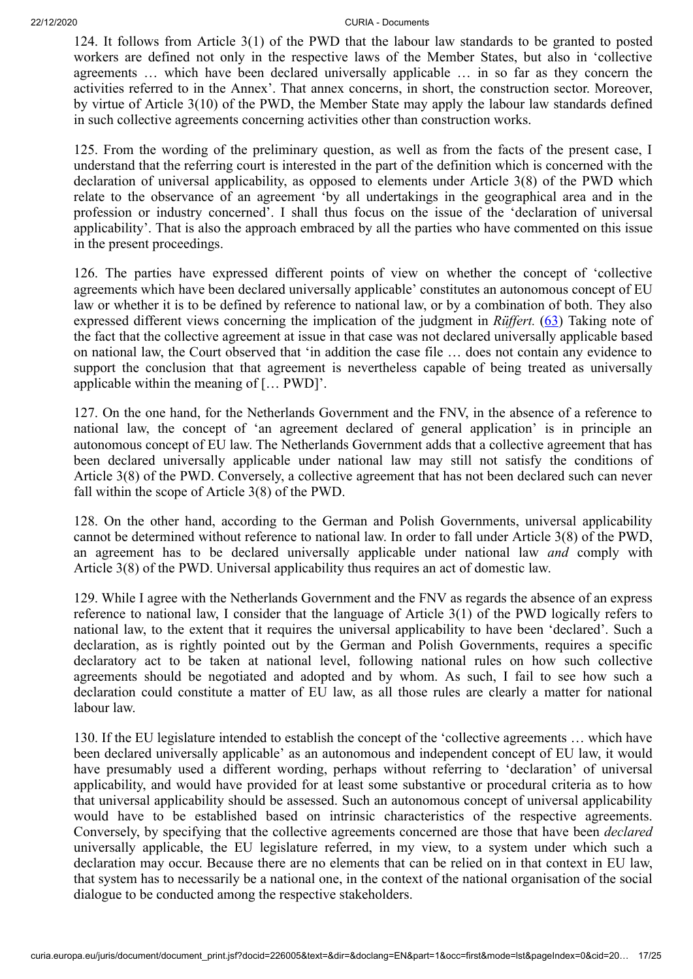124. It follows from Article 3(1) of the PWD that the labour law standards to be granted to posted workers are defined not only in the respective laws of the Member States, but also in 'collective agreements … which have been declared universally applicable … in so far as they concern the activities referred to in the Annex'. That annex concerns, in short, the construction sector. Moreover, by virtue of Article 3(10) of the PWD, the Member State may apply the labour law standards defined in such collective agreements concerning activities other than construction works.

125. From the wording of the preliminary question, as well as from the facts of the present case, I understand that the referring court is interested in the part of the definition which is concerned with the declaration of universal applicability, as opposed to elements under Article 3(8) of the PWD which relate to the observance of an agreement 'by all undertakings in the geographical area and in the profession or industry concerned'. I shall thus focus on the issue of the 'declaration of universal applicability'. That is also the approach embraced by all the parties who have commented on this issue in the present proceedings.

<span id="page-16-0"></span>126. The parties have expressed different points of view on whether the concept of 'collective agreements which have been declared universally applicable' constitutes an autonomous concept of EU law or whether it is to be defined by reference to national law, or by a combination of both. They also expressed different views concerning the implication of the judgment in *Rüffert.* ([63\)](#page-24-2) Taking note of the fact that the collective agreement at issue in that case was not declared universally applicable based on national law, the Court observed that 'in addition the case file … does not contain any evidence to support the conclusion that that agreement is nevertheless capable of being treated as universally applicable within the meaning of [… PWD]'.

127. On the one hand, for the Netherlands Government and the FNV, in the absence of a reference to national law, the concept of 'an agreement declared of general application' is in principle an autonomous concept of EU law. The Netherlands Government adds that a collective agreement that has been declared universally applicable under national law may still not satisfy the conditions of Article 3(8) of the PWD. Conversely, a collective agreement that has not been declared such can never fall within the scope of Article 3(8) of the PWD.

128. On the other hand, according to the German and Polish Governments, universal applicability cannot be determined without reference to national law. In order to fall under Article 3(8) of the PWD, an agreement has to be declared universally applicable under national law *and* comply with Article 3(8) of the PWD. Universal applicability thus requires an act of domestic law.

129. While I agree with the Netherlands Government and the FNV as regards the absence of an express reference to national law, I consider that the language of Article 3(1) of the PWD logically refers to national law, to the extent that it requires the universal applicability to have been 'declared'. Such a declaration, as is rightly pointed out by the German and Polish Governments, requires a specific declaratory act to be taken at national level, following national rules on how such collective agreements should be negotiated and adopted and by whom. As such, I fail to see how such a declaration could constitute a matter of EU law, as all those rules are clearly a matter for national labour law.

130. If the EU legislature intended to establish the concept of the 'collective agreements … which have been declared universally applicable' as an autonomous and independent concept of EU law, it would have presumably used a different wording, perhaps without referring to 'declaration' of universal applicability, and would have provided for at least some substantive or procedural criteria as to how that universal applicability should be assessed. Such an autonomous concept of universal applicability would have to be established based on intrinsic characteristics of the respective agreements. Conversely, by specifying that the collective agreements concerned are those that have been *declared* universally applicable, the EU legislature referred, in my view, to a system under which such a declaration may occur. Because there are no elements that can be relied on in that context in EU law, that system has to necessarily be a national one, in the context of the national organisation of the social dialogue to be conducted among the respective stakeholders.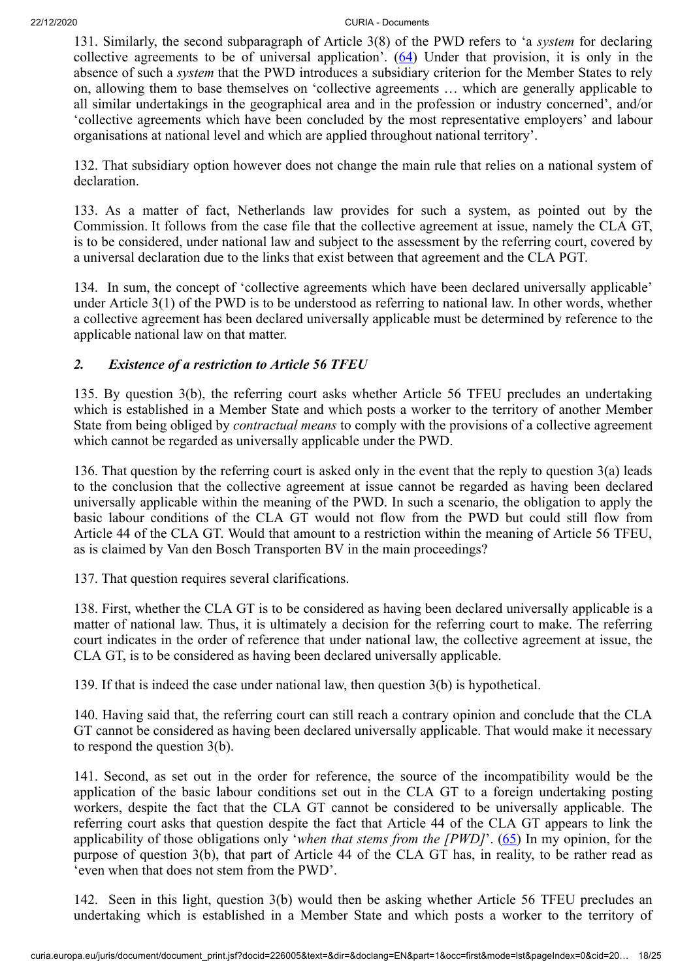<span id="page-17-0"></span>131. Similarly, the second subparagraph of Article 3(8) of the PWD refers to 'a *system* for declaring collective agreements to be of universal application'.  $(64)$  $(64)$  Under that provision, it is only in the absence of such a *system* that the PWD introduces a subsidiary criterion for the Member States to rely on, allowing them to base themselves on 'collective agreements … which are generally applicable to all similar undertakings in the geographical area and in the profession or industry concerned', and/or 'collective agreements which have been concluded by the most representative employers' and labour organisations at national level and which are applied throughout national territory'.

132. That subsidiary option however does not change the main rule that relies on a national system of declaration.

133. As a matter of fact, Netherlands law provides for such a system, as pointed out by the Commission. It follows from the case file that the collective agreement at issue, namely the CLA GT, is to be considered, under national law and subject to the assessment by the referring court, covered by a universal declaration due to the links that exist between that agreement and the CLA PGT.

134. In sum, the concept of 'collective agreements which have been declared universally applicable' under Article 3(1) of the PWD is to be understood as referring to national law. In other words, whether a collective agreement has been declared universally applicable must be determined by reference to the applicable national law on that matter.

# *2. Existence of a restriction to Article 56 TFEU*

135. By question 3(b), the referring court asks whether Article 56 TFEU precludes an undertaking which is established in a Member State and which posts a worker to the territory of another Member State from being obliged by *contractual means* to comply with the provisions of a collective agreement which cannot be regarded as universally applicable under the PWD.

136. That question by the referring court is asked only in the event that the reply to question 3(a) leads to the conclusion that the collective agreement at issue cannot be regarded as having been declared universally applicable within the meaning of the PWD. In such a scenario, the obligation to apply the basic labour conditions of the CLA GT would not flow from the PWD but could still flow from Article 44 of the CLA GT. Would that amount to a restriction within the meaning of Article 56 TFEU, as is claimed by Van den Bosch Transporten BV in the main proceedings?

137. That question requires several clarifications.

138. First, whether the CLA GT is to be considered as having been declared universally applicable is a matter of national law. Thus, it is ultimately a decision for the referring court to make. The referring court indicates in the order of reference that under national law, the collective agreement at issue, the CLA GT, is to be considered as having been declared universally applicable.

139. If that is indeed the case under national law, then question 3(b) is hypothetical.

140. Having said that, the referring court can still reach a contrary opinion and conclude that the CLA GT cannot be considered as having been declared universally applicable. That would make it necessary to respond the question 3(b).

141. Second, as set out in the order for reference, the source of the incompatibility would be the application of the basic labour conditions set out in the CLA GT to a foreign undertaking posting workers, despite the fact that the CLA GT cannot be considered to be universally applicable. The referring court asks that question despite the fact that Article 44 of the CLA GT appears to link the applicability of those obligations only '*when that stems from the [PWD]*'. ([65\)](#page-24-4) In my opinion, for the purpose of question 3(b), that part of Article 44 of the CLA GT has, in reality, to be rather read as 'even when that does not stem from the PWD'.

<span id="page-17-1"></span>142. Seen in this light, question 3(b) would then be asking whether Article 56 TFEU precludes an undertaking which is established in a Member State and which posts a worker to the territory of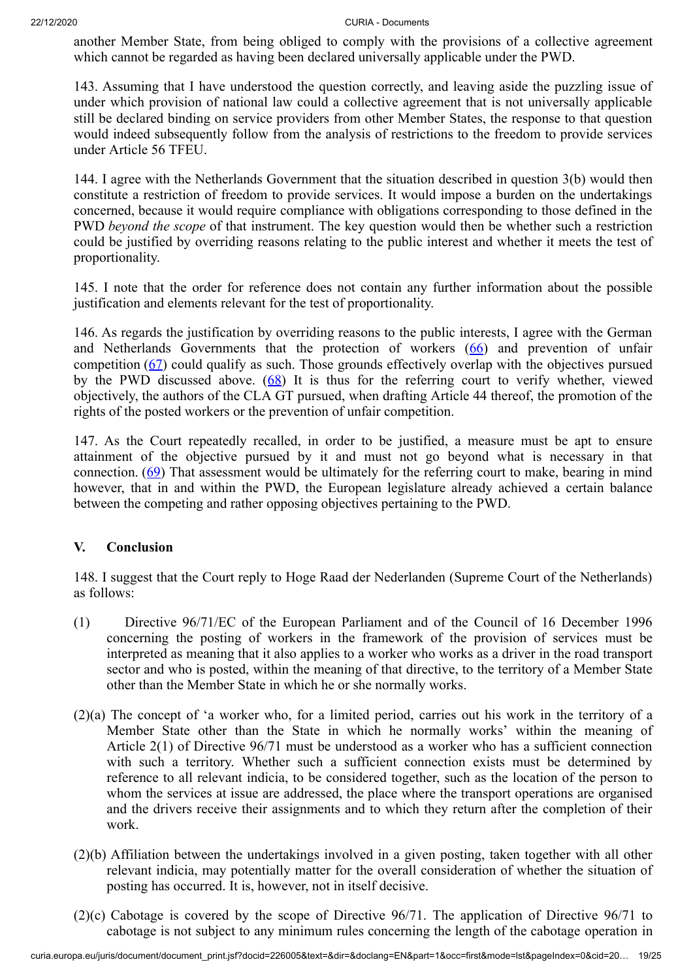another Member State, from being obliged to comply with the provisions of a collective agreement which cannot be regarded as having been declared universally applicable under the PWD.

143. Assuming that I have understood the question correctly, and leaving aside the puzzling issue of under which provision of national law could a collective agreement that is not universally applicable still be declared binding on service providers from other Member States, the response to that question would indeed subsequently follow from the analysis of restrictions to the freedom to provide services under Article 56 TFEU.

144. I agree with the Netherlands Government that the situation described in question 3(b) would then constitute a restriction of freedom to provide services. It would impose a burden on the undertakings concerned, because it would require compliance with obligations corresponding to those defined in the PWD *beyond the scope* of that instrument. The key question would then be whether such a restriction could be justified by overriding reasons relating to the public interest and whether it meets the test of proportionality.

145. I note that the order for reference does not contain any further information about the possible justification and elements relevant for the test of proportionality.

<span id="page-18-2"></span><span id="page-18-1"></span><span id="page-18-0"></span>146. As regards the justification by overriding reasons to the public interests, I agree with the German and Netherlands Governments that the protection of workers  $(66)$  $(66)$  and prevention of unfair competition ([67\)](#page-24-6) could qualify as such. Those grounds effectively overlap with the objectives pursued by the PWD discussed above.  $(68)$  $(68)$  It is thus for the referring court to verify whether, viewed objectively, the authors of the CLA GT pursued, when drafting Article 44 thereof, the promotion of the rights of the posted workers or the prevention of unfair competition.

<span id="page-18-3"></span>147. As the Court repeatedly recalled, in order to be justified, a measure must be apt to ensure attainment of the objective pursued by it and must not go beyond what is necessary in that connection. ([69](#page-24-8)) That assessment would be ultimately for the referring court to make, bearing in mind however, that in and within the PWD, the European legislature already achieved a certain balance between the competing and rather opposing objectives pertaining to the PWD.

### **V. Conclusion**

148. I suggest that the Court reply to Hoge Raad der Nederlanden (Supreme Court of the Netherlands) as follows:

- (1) Directive 96/71/EC of the European Parliament and of the Council of 16 December 1996 concerning the posting of workers in the framework of the provision of services must be interpreted as meaning that it also applies to a worker who works as a driver in the road transport sector and who is posted, within the meaning of that directive, to the territory of a Member State other than the Member State in which he or she normally works.
- (2)(a) The concept of 'a worker who, for a limited period, carries out his work in the territory of a Member State other than the State in which he normally works' within the meaning of Article 2(1) of Directive 96/71 must be understood as a worker who has a sufficient connection with such a territory. Whether such a sufficient connection exists must be determined by reference to all relevant indicia, to be considered together, such as the location of the person to whom the services at issue are addressed, the place where the transport operations are organised and the drivers receive their assignments and to which they return after the completion of their work.
- (2)(b) Affiliation between the undertakings involved in a given posting, taken together with all other relevant indicia, may potentially matter for the overall consideration of whether the situation of posting has occurred. It is, however, not in itself decisive.
- (2)(c) Cabotage is covered by the scope of Directive 96/71. The application of Directive 96/71 to cabotage is not subject to any minimum rules concerning the length of the cabotage operation in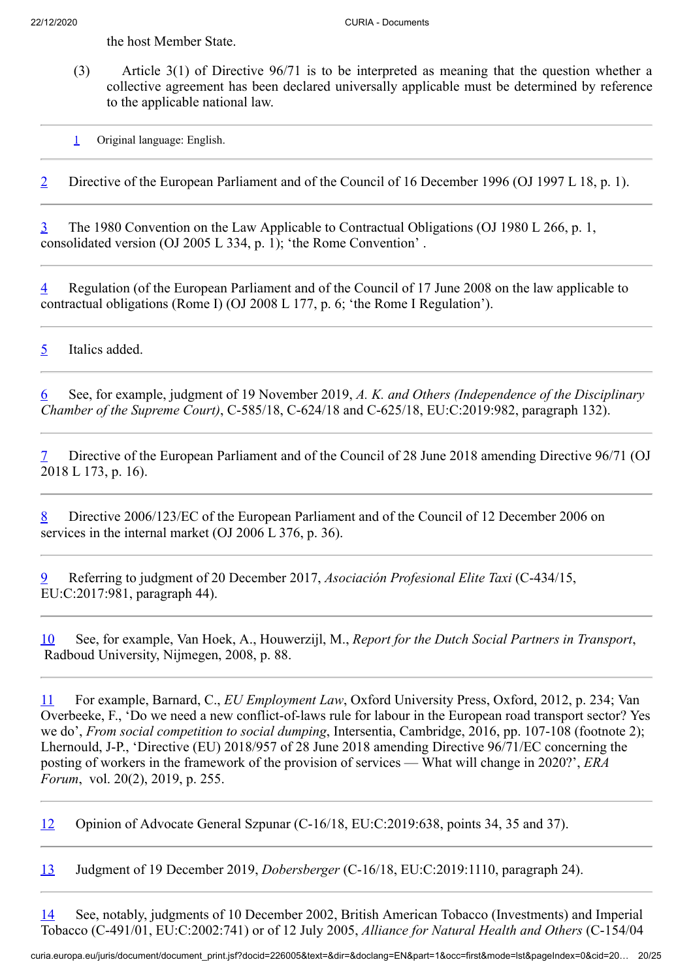the host Member State.

(3) Article 3(1) of Directive 96/71 is to be interpreted as meaning that the question whether a collective agreement has been declared universally applicable must be determined by reference to the applicable national law.

<span id="page-19-0"></span>[1](#page-0-0) Original language: English.

<span id="page-19-1"></span>[2](#page-0-1) Directive of the European Parliament and of the Council of 16 December 1996 (OJ 1997 L 18, p. 1).

<span id="page-19-2"></span>[3](#page-3-0) The 1980 Convention on the Law Applicable to Contractual Obligations (OJ 1980 L 266, p. 1, consolidated version (OJ 2005 L 334, p. 1); 'the Rome Convention' .

<span id="page-19-3"></span>[4](#page-3-1) Regulation (of the European Parliament and of the Council of 17 June 2008 on the law applicable to contractual obligations (Rome I) (OJ 2008 L 177, p. 6; 'the Rome I Regulation').

<span id="page-19-4"></span>[5](#page-4-0) Italics added.

<span id="page-19-5"></span>[6](#page-5-0) See, for example, judgment of 19 November 2019, *A. K. and Others (Independence of the Disciplinary Chamber of the Supreme Court)*, C‑585/18, C‑624/18 and C‑625/18, EU:C:2019:982, paragraph 132).

<span id="page-19-6"></span>[7](#page-6-0) Directive of the European Parliament and of the Council of 28 June 2018 amending Directive 96/71 (OJ 2018 L 173, p. 16).

<span id="page-19-7"></span>[8](#page-6-1) Directive 2006/123/EC of the European Parliament and of the Council of 12 December 2006 on services in the internal market (OJ 2006 L 376, p. 36).

<span id="page-19-8"></span>[9](#page-6-2) Referring to judgment of 20 December 2017, *Asociación Profesional Elite Taxi* (C‑434/15, EU:C:2017:981, paragraph 44).

<span id="page-19-9"></span>[10](#page-6-3) See, for example, Van Hoek, A., Houwerzijl, M., *Report for the Dutch Social Partners in Transport*, Radboud University, Nijmegen, 2008, p. 88.

<span id="page-19-10"></span>[11](#page-6-4) For example, Barnard, C., *EU Employment Law*, Oxford University Press, Oxford, 2012, p. 234; Van Overbeeke, F., 'Do we need a new conflict-of-laws rule for labour in the European road transport sector? Yes we do', *From social competition to social dumping*, Intersentia, Cambridge, 2016, pp. 107-108 (footnote 2); Lhernould, J-P., 'Directive (EU) 2018/957 of 28 June 2018 amending Directive 96/71/EC concerning the posting of workers in the framework of the provision of services — What will change in 2020?', *ERA Forum*, vol. 20(2), 2019, p. 255.

<span id="page-19-11"></span>[12](#page-7-0) Opinion of Advocate General Szpunar (C‑16/18, EU:C:2019:638, points 34, 35 and 37).

<span id="page-19-12"></span>[13](#page-7-1) Judgment of 19 December 2019, *Dobersberger* (C‑16/18, EU:C:2019:1110, paragraph 24).

<span id="page-19-13"></span>[14](#page-7-2) See, notably, judgments of 10 December 2002, British American Tobacco (Investments) and Imperial Tobacco (C‑491/01, EU:C:2002:741) or of 12 July 2005, *Alliance for Natural Health and Others* (C‑154/04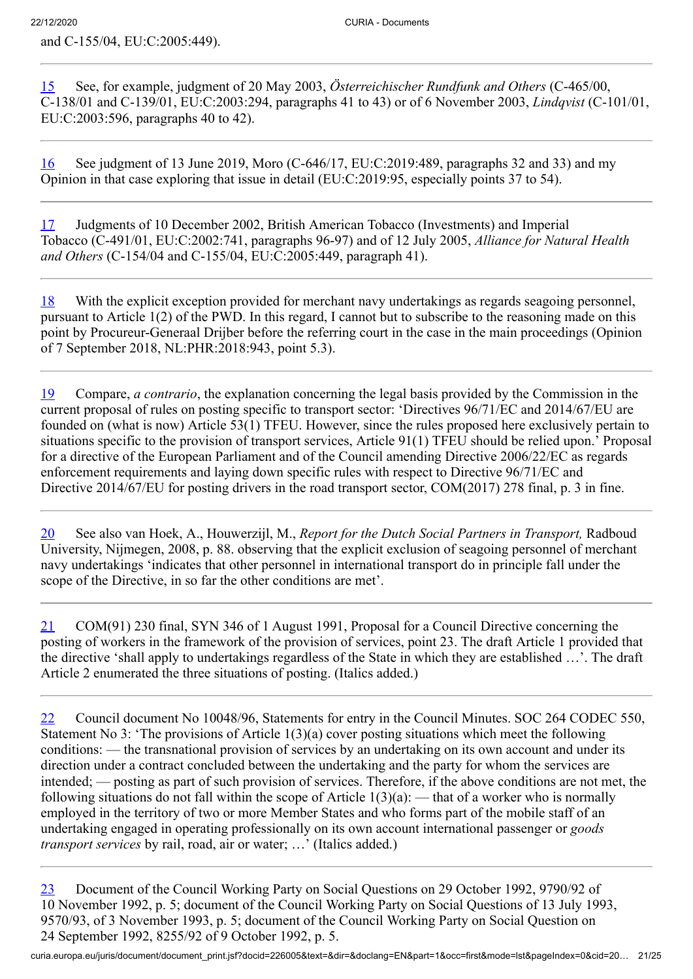and C‑155/04, EU:C:2005:449).

<span id="page-20-0"></span>[15](#page-7-3) See, for example, judgment of 20 May 2003, *Österreichischer Rundfunk and Others* (C‑465/00, C‑138/01 and C‑139/01, EU:C:2003:294, paragraphs 41 to 43) or of 6 November 2003, *Lindqvist* (C‑101/01, EU:C:2003:596, paragraphs 40 to 42).

<span id="page-20-1"></span>[16](#page-7-4) See judgment of 13 June 2019, Moro (C‑646/17, EU:C:2019:489, paragraphs 32 and 33) and my Opinion in that case exploring that issue in detail (EU:C:2019:95, especially points 37 to 54).

<span id="page-20-2"></span>[17](#page-7-5) Judgments of 10 December 2002, British American Tobacco (Investments) and Imperial Tobacco (C‑491/01, EU:C:2002:741, paragraphs 96-97) and of 12 July 2005, *Alliance for Natural Health and Others* (C‑154/04 and C‑155/04, EU:C:2005:449, paragraph 41).

<span id="page-20-3"></span>[18](#page-8-0) With the explicit exception provided for merchant navy undertakings as regards seagoing personnel, pursuant to Article 1(2) of the PWD. In this regard, I cannot but to subscribe to the reasoning made on this point by Procureur-Generaal Drijber before the referring court in the case in the main proceedings (Opinion of 7 September 2018, NL:PHR:2018:943, point 5.3).

<span id="page-20-4"></span>[19](#page-8-1) Compare, *a contrario*, the explanation concerning the legal basis provided by the Commission in the current proposal of rules on posting specific to transport sector: 'Directives 96/71/EC and 2014/67/EU are founded on (what is now) Article 53(1) TFEU. However, since the rules proposed here exclusively pertain to situations specific to the provision of transport services, Article 91(1) TFEU should be relied upon.' Proposal for a directive of the European Parliament and of the Council amending Directive 2006/22/EC as regards enforcement requirements and laying down specific rules with respect to Directive 96/71/EC and Directive 2014/67/EU for posting drivers in the road transport sector, COM(2017) 278 final, p. 3 in fine.

<span id="page-20-5"></span>[20](#page-8-2) See also van Hoek, A., Houwerzijl, M., *Report for the Dutch Social Partners in Transport,* Radboud University, Nijmegen, 2008, p. 88. observing that the explicit exclusion of seagoing personnel of merchant navy undertakings 'indicates that other personnel in international transport do in principle fall under the scope of the Directive, in so far the other conditions are met'.

<span id="page-20-6"></span>[21](#page-8-3) COM(91) 230 final, SYN 346 of 1 August 1991, Proposal for a Council Directive concerning the posting of workers in the framework of the provision of services, point 23. The draft Article 1 provided that the directive 'shall apply to undertakings regardless of the State in which they are established …'. The draft Article 2 enumerated the three situations of posting. (Italics added.)

<span id="page-20-7"></span>[22](#page-8-4) Council document No 10048/96, Statements for entry in the Council Minutes. SOC 264 CODEC 550, Statement No 3: 'The provisions of Article 1(3)(a) cover posting situations which meet the following conditions: — the transnational provision of services by an undertaking on its own account and under its direction under a contract concluded between the undertaking and the party for whom the services are intended; — posting as part of such provision of services. Therefore, if the above conditions are not met, the following situations do not fall within the scope of Article  $1(3)(a)$ : — that of a worker who is normally employed in the territory of two or more Member States and who forms part of the mobile staff of an undertaking engaged in operating professionally on its own account international passenger or *goods transport services* by rail, road, air or water; …' (Italics added.)

<span id="page-20-8"></span>[23](#page-8-5) Document of the Council Working Party on Social Questions on 29 October 1992, 9790/92 of 10 November 1992, p. 5; document of the Council Working Party on Social Questions of 13 July 1993, 9570/93, of 3 November 1993, p. 5; document of the Council Working Party on Social Question on 24 September 1992, 8255/92 of 9 October 1992, p. 5.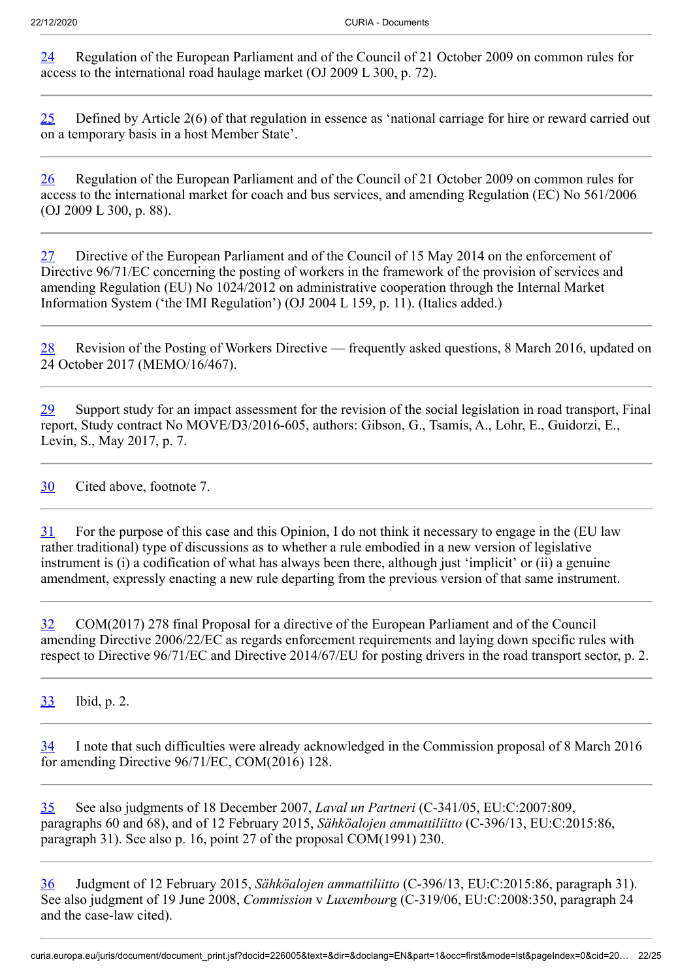<span id="page-21-0"></span>[24](#page-9-0) Regulation of the European Parliament and of the Council of 21 October 2009 on common rules for access to the international road haulage market (OJ 2009 L 300, p. 72).

<span id="page-21-1"></span>[25](#page-9-1) Defined by Article 2(6) of that regulation in essence as 'national carriage for hire or reward carried out on a temporary basis in a host Member State'.

<span id="page-21-2"></span>[26](#page-9-2) Regulation of the European Parliament and of the Council of 21 October 2009 on common rules for access to the international market for coach and bus services, and amending Regulation (EC) No 561/2006 (OJ 2009 L 300, p. 88).

<span id="page-21-3"></span>[27](#page-9-3) Directive of the European Parliament and of the Council of 15 May 2014 on the enforcement of Directive 96/71/EC concerning the posting of workers in the framework of the provision of services and amending Regulation (EU) No 1024/2012 on administrative cooperation through the Internal Market Information System ('the IMI Regulation') (OJ 2004 L 159, p. 11). (Italics added.)

<span id="page-21-4"></span>[28](#page-9-4) Revision of the Posting of Workers Directive — frequently asked questions, 8 March 2016, updated on 24 October 2017 (MEMO/16/467).

<span id="page-21-5"></span>[29](#page-9-5) Support study for an impact assessment for the revision of the social legislation in road transport, Final report, Study contract No MOVE/D3/2016-605, authors: Gibson, G., Tsamis, A., Lohr, E., Guidorzi, E., Levin, S., May 2017, p. 7.

<span id="page-21-6"></span>[30](#page-9-6) Cited above, footnote 7.

<span id="page-21-7"></span>[31](#page-9-7) For the purpose of this case and this Opinion, I do not think it necessary to engage in the (EU law rather traditional) type of discussions as to whether a rule embodied in a new version of legislative instrument is (i) a codification of what has always been there, although just 'implicit' or (ii) a genuine amendment, expressly enacting a new rule departing from the previous version of that same instrument.

<span id="page-21-8"></span>[32](#page-9-8) COM(2017) 278 final Proposal for a directive of the European Parliament and of the Council amending Directive 2006/22/EC as regards enforcement requirements and laying down specific rules with respect to Directive 96/71/EC and Directive 2014/67/EU for posting drivers in the road transport sector, p. 2.

<span id="page-21-9"></span>[33](#page-10-0) Ibid, p. 2.

<span id="page-21-10"></span>[34](#page-10-1) I note that such difficulties were already acknowledged in the Commission proposal of 8 March 2016 for amending Directive 96/71/EC, COM(2016) 128.

<span id="page-21-11"></span>[35](#page-10-2) See also judgments of 18 December 2007, *Laval un Partneri* (C‑341/05, EU:C:2007:809, paragraphs 60 and 68), and of 12 February 2015, *Sähköalojen ammattiliitto* (C‑396/13, EU:C:2015:86, paragraph 31). See also p. 16, point 27 of the proposal COM(1991) 230.

<span id="page-21-12"></span>[36](#page-10-3) Judgment of 12 February 2015, *Sähköalojen ammattiliitto* (C‑396/13, EU:C:2015:86, paragraph 31). See also judgment of 19 June 2008, *Commission* v *Luxembour*g (C‑319/06, EU:C:2008:350, paragraph 24 and the case-law cited).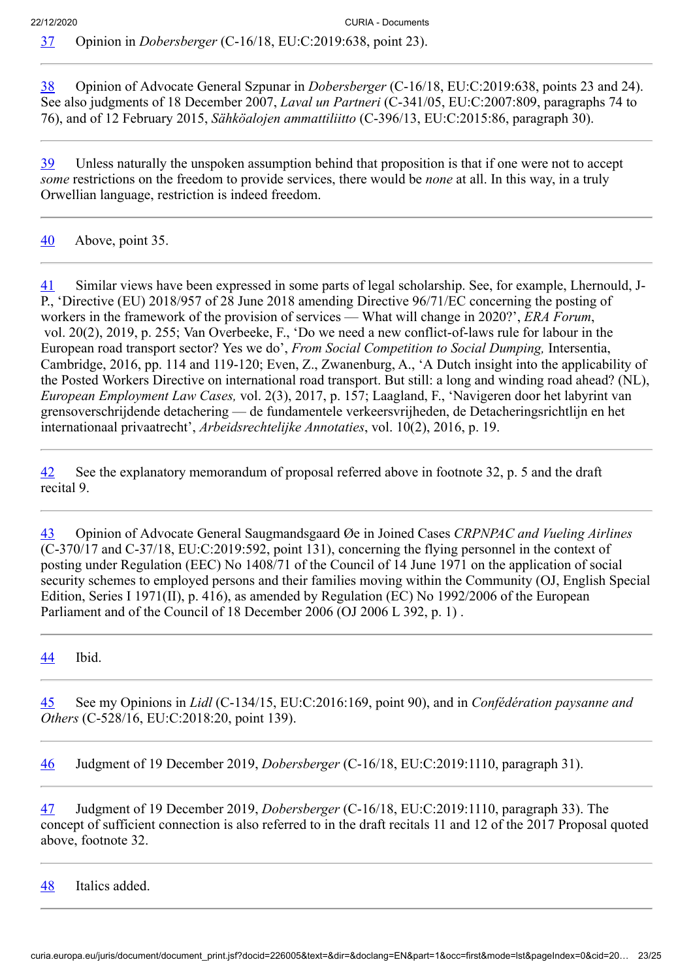<span id="page-22-1"></span><span id="page-22-0"></span>[38](#page-10-5) Opinion of Advocate General Szpunar in *Dobersberger* (C‑16/18, EU:C:2019:638, points 23 and 24). See also judgments of 18 December 2007, *Laval un Partneri* (C‑341/05, EU:C:2007:809, paragraphs 74 to 76), and of 12 February 2015, *Sähköalojen ammattiliitto* (C‑396/13, EU:C:2015:86, paragraph 30).

<span id="page-22-2"></span>[39](#page-10-6) Unless naturally the unspoken assumption behind that proposition is that if one were not to accept *some* restrictions on the freedom to provide services, there would be *none* at all. In this way, in a truly Orwellian language, restriction is indeed freedom.

# <span id="page-22-3"></span>[40](#page-10-7) Above, point 35.

<span id="page-22-4"></span>[41](#page-10-8) Similar views have been expressed in some parts of legal scholarship. See, for example, Lhernould, J-P., 'Directive (EU) 2018/957 of 28 June 2018 amending Directive 96/71/EC concerning the posting of workers in the framework of the provision of services — What will change in 2020?', *ERA Forum*, vol. 20(2), 2019, p. 255; Van Overbeeke, F., 'Do we need a new conflict-of-laws rule for labour in the European road transport sector? Yes we do', *From Social Competition to Social Dumping,* Intersentia, Cambridge, 2016, pp. 114 and 119-120; Even, Z., Zwanenburg, A., 'A Dutch insight into the applicability of the Posted Workers Directive on international road transport. But still: a long and winding road ahead? (NL), *European Employment Law Cases,* vol. 2(3), 2017, p. 157; Laagland, F., 'Navigeren door het labyrint van grensoverschrijdende detachering — de fundamentele verkeersvrijheden, de Detacheringsrichtlijn en het internationaal privaatrecht', *Arbeidsrechtelijke Annotaties*, vol. 10(2), 2016, p. 19.

<span id="page-22-5"></span>[42](#page-10-9) See the explanatory memorandum of proposal referred above in footnote 32, p. 5 and the draft recital 9.

<span id="page-22-6"></span>[43](#page-10-10) Opinion of Advocate General Saugmandsgaard Øe in Joined Cases *CRPNPAC and Vueling Airlines* (C‑370/17 and C‑37/18, EU:C:2019:592, point 131), concerning the flying personnel in the context of posting under Regulation (EEC) No 1408/71 of the Council of 14 June 1971 on the application of social security schemes to employed persons and their families moving within the Community (OJ, English Special Edition, Series I 1971(II), p. 416), as amended by Regulation (EC) No 1992/2006 of the European Parliament and of the Council of 18 December 2006 (OJ 2006 L 392, p. 1) .

<span id="page-22-7"></span>[44](#page-10-11) Ibid.

<span id="page-22-8"></span>[45](#page-11-0) See my Opinions in *Lidl* (C‑134/15, EU:C:2016:169, point 90), and in *Confédération paysanne and Others* (C‑528/16, EU:C:2018:20, point 139).

<span id="page-22-9"></span>[46](#page-12-0) Judgment of 19 December 2019, *Dobersberger* (C‑16/18, EU:C:2019:1110, paragraph 31).

<span id="page-22-10"></span>[47](#page-12-1) Judgment of 19 December 2019, *Dobersberger* (C‑16/18, EU:C:2019:1110, paragraph 33). The concept of sufficient connection is also referred to in the draft recitals 11 and 12 of the 2017 Proposal quoted above, footnote 32.

<span id="page-22-11"></span>[48](#page-12-2) Italics added.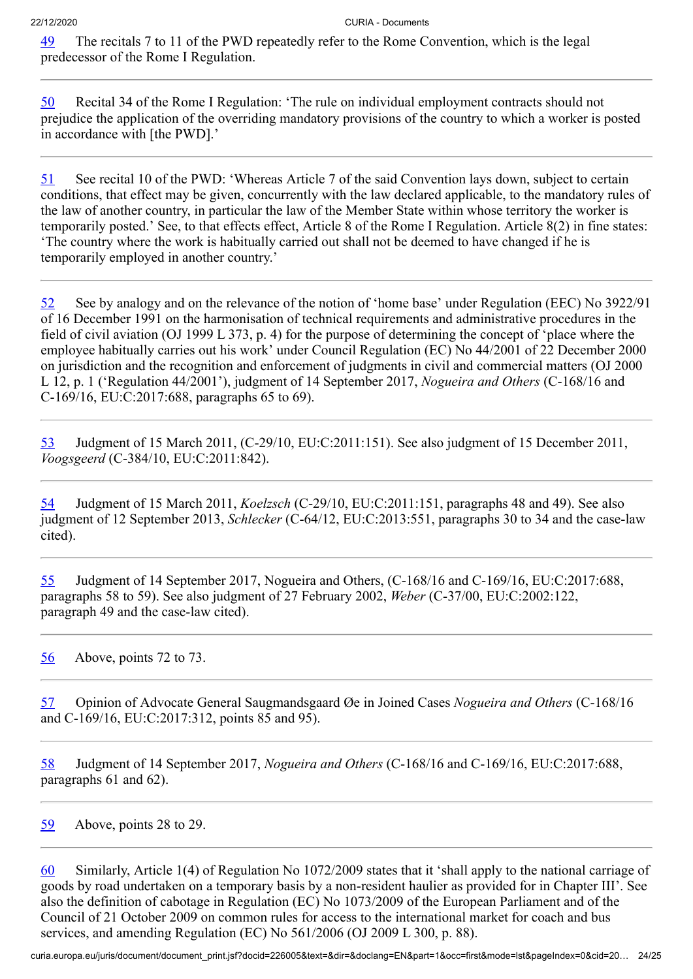<span id="page-23-0"></span>[49](#page-12-3) The recitals 7 to 11 of the PWD repeatedly refer to the Rome Convention, which is the legal predecessor of the Rome I Regulation.

<span id="page-23-1"></span>[50](#page-12-4) Recital 34 of the Rome I Regulation: 'The rule on individual employment contracts should not prejudice the application of the overriding mandatory provisions of the country to which a worker is posted in accordance with [the PWD].'

<span id="page-23-2"></span>[51](#page-12-5) See recital 10 of the PWD: 'Whereas Article 7 of the said Convention lays down, subject to certain conditions, that effect may be given, concurrently with the law declared applicable, to the mandatory rules of the law of another country, in particular the law of the Member State within whose territory the worker is temporarily posted.' See, to that effects effect, Article 8 of the Rome I Regulation. Article 8(2) in fine states: 'The country where the work is habitually carried out shall not be deemed to have changed if he is temporarily employed in another country.'

<span id="page-23-3"></span>[52](#page-12-6) See by analogy and on the relevance of the notion of 'home base' under Regulation (EEC) No 3922/91 of 16 December 1991 on the harmonisation of technical requirements and administrative procedures in the field of civil aviation (OJ 1999 L 373, p. 4) for the purpose of determining the concept of 'place where the employee habitually carries out his work' under Council Regulation (EC) No 44/2001 of 22 December 2000 on jurisdiction and the recognition and enforcement of judgments in civil and commercial matters (OJ 2000 L 12, p. 1 ('Regulation 44/2001'), judgment of 14 September 2017, *Nogueira and Others* (C‑168/16 and C‑169/16, EU:C:2017:688, paragraphs 65 to 69).

<span id="page-23-4"></span>[53](#page-12-7) Judgment of 15 March 2011, (C‑29/10, EU:C:2011:151). See also judgment of 15 December 2011, *Voogsgeerd* (C‑384/10, EU:C:2011:842).

<span id="page-23-5"></span>[54](#page-13-0) Judgment of 15 March 2011, *Koelzsch* (C‑29/10, EU:C:2011:151, paragraphs 48 and 49). See also judgment of 12 September 2013, *Schlecker* (C‑64/12, EU:C:2013:551, paragraphs 30 to 34 and the case-law cited).

<span id="page-23-6"></span>[55](#page-13-1) Judgment of 14 September 2017, Nogueira and Others, (C‑168/16 and C‑169/16, EU:C:2017:688, paragraphs 58 to 59). See also judgment of 27 February 2002, *Weber* (C‑37/00, EU:C:2002:122, paragraph 49 and the case-law cited).

<span id="page-23-7"></span>[56](#page-13-2) Above, points 72 to 73.

<span id="page-23-8"></span>[57](#page-13-3) Opinion of Advocate General Saugmandsgaard Øe in Joined Cases *Nogueira and Others* (C‑168/16 and C‑169/16, EU:C:2017:312, points 85 and 95).

<span id="page-23-9"></span>[58](#page-13-4) Judgment of 14 September 2017, *Nogueira and Others* (C‑168/16 and C‑169/16, EU:C:2017:688, paragraphs 61 and 62).

<span id="page-23-10"></span>[59](#page-13-5) Above, points 28 to 29.

<span id="page-23-11"></span>[60](#page-15-0) Similarly, Article 1(4) of Regulation No 1072/2009 states that it 'shall apply to the national carriage of goods by road undertaken on a temporary basis by a non-resident haulier as provided for in Chapter III'. See also the definition of cabotage in Regulation (EC) No 1073/2009 of the European Parliament and of the Council of 21 October 2009 on common rules for access to the international market for coach and bus services, and amending Regulation (EC) No 561/2006 (OJ 2009 L 300, p. 88).